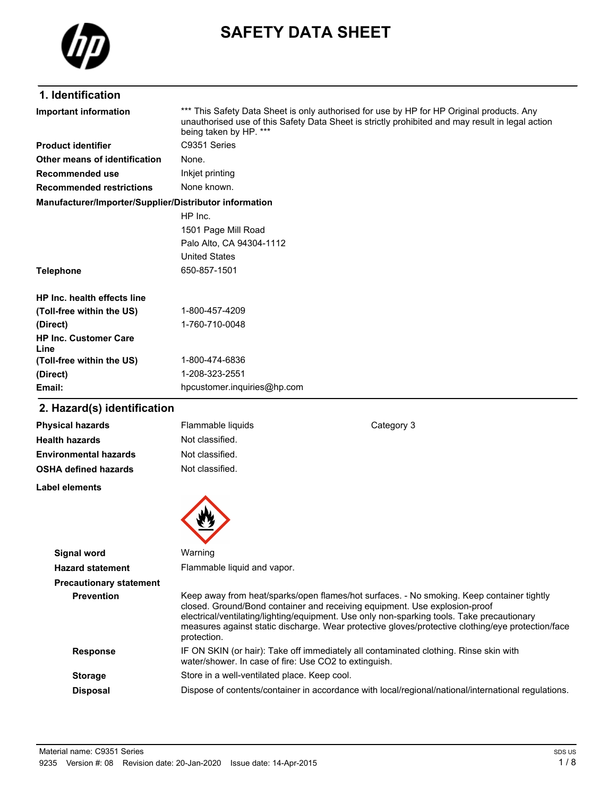

# **SAFETY DATA SHEET**

# **1. Identification**

| Important information                                  | *** This Safety Data Sheet is only authorised for use by HP for HP Original products. Any<br>unauthorised use of this Safety Data Sheet is strictly prohibited and may result in legal action<br>being taken by HP. *** |
|--------------------------------------------------------|-------------------------------------------------------------------------------------------------------------------------------------------------------------------------------------------------------------------------|
| <b>Product identifier</b>                              | C9351 Series                                                                                                                                                                                                            |
| Other means of identification                          | None.                                                                                                                                                                                                                   |
| Recommended use                                        | Inkjet printing                                                                                                                                                                                                         |
| <b>Recommended restrictions</b>                        | None known.                                                                                                                                                                                                             |
| Manufacturer/Importer/Supplier/Distributor information |                                                                                                                                                                                                                         |
|                                                        | HP Inc.                                                                                                                                                                                                                 |
|                                                        | 1501 Page Mill Road                                                                                                                                                                                                     |
|                                                        | Palo Alto, CA 94304-1112                                                                                                                                                                                                |
|                                                        | <b>United States</b>                                                                                                                                                                                                    |
| <b>Telephone</b>                                       | 650-857-1501                                                                                                                                                                                                            |
| HP Inc. health effects line                            |                                                                                                                                                                                                                         |
| (Toll-free within the US)                              | 1-800-457-4209                                                                                                                                                                                                          |
| (Direct)                                               | 1-760-710-0048                                                                                                                                                                                                          |
| <b>HP Inc. Customer Care</b><br>Line                   |                                                                                                                                                                                                                         |
| (Toll-free within the US)                              | 1-800-474-6836                                                                                                                                                                                                          |
| (Direct)                                               | 1-208-323-2551                                                                                                                                                                                                          |
| Email:                                                 | hpcustomer.inquiries@hp.com                                                                                                                                                                                             |

# **2. Hazard(s) identification**

| <b>Physical hazards</b>        | Flammable liquids                                     | Category 3                                                                                                                                                                                                                                                                                                                                                                 |
|--------------------------------|-------------------------------------------------------|----------------------------------------------------------------------------------------------------------------------------------------------------------------------------------------------------------------------------------------------------------------------------------------------------------------------------------------------------------------------------|
| <b>Health hazards</b>          | Not classified.                                       |                                                                                                                                                                                                                                                                                                                                                                            |
| <b>Environmental hazards</b>   | Not classified.                                       |                                                                                                                                                                                                                                                                                                                                                                            |
| <b>OSHA defined hazards</b>    | Not classified.                                       |                                                                                                                                                                                                                                                                                                                                                                            |
| Label elements                 |                                                       |                                                                                                                                                                                                                                                                                                                                                                            |
|                                |                                                       |                                                                                                                                                                                                                                                                                                                                                                            |
|                                |                                                       |                                                                                                                                                                                                                                                                                                                                                                            |
| <b>Signal word</b>             | Warning                                               |                                                                                                                                                                                                                                                                                                                                                                            |
| <b>Hazard statement</b>        | Flammable liquid and vapor.                           |                                                                                                                                                                                                                                                                                                                                                                            |
| <b>Precautionary statement</b> |                                                       |                                                                                                                                                                                                                                                                                                                                                                            |
| <b>Prevention</b>              | protection.                                           | Keep away from heat/sparks/open flames/hot surfaces. - No smoking. Keep container tightly<br>closed. Ground/Bond container and receiving equipment. Use explosion-proof<br>electrical/ventilating/lighting/equipment. Use only non-sparking tools. Take precautionary<br>measures against static discharge. Wear protective gloves/protective clothing/eye protection/face |
| <b>Response</b>                | water/shower. In case of fire: Use CO2 to extinguish. | IF ON SKIN (or hair): Take off immediately all contaminated clothing. Rinse skin with                                                                                                                                                                                                                                                                                      |
| <b>Storage</b>                 | Store in a well-ventilated place. Keep cool.          |                                                                                                                                                                                                                                                                                                                                                                            |
| <b>Disposal</b>                |                                                       | Dispose of contents/container in accordance with local/regional/national/international regulations.                                                                                                                                                                                                                                                                        |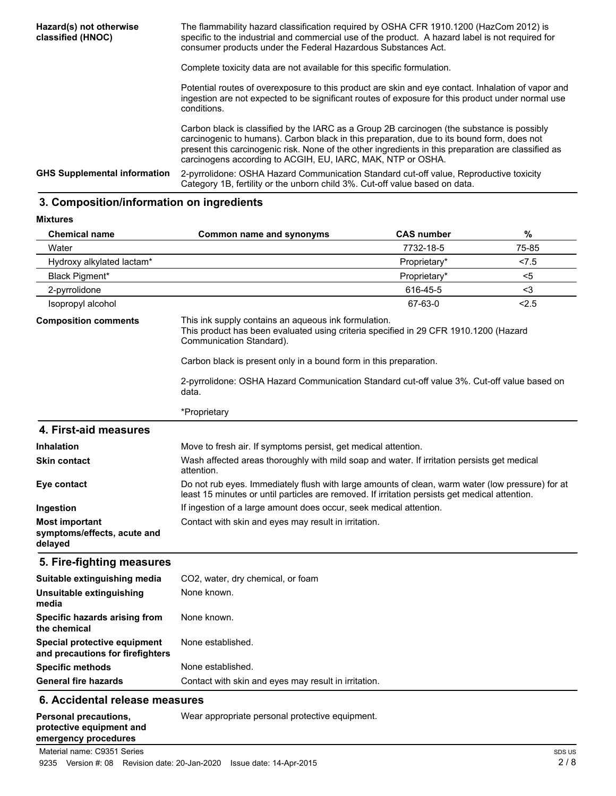| Hazard(s) not otherwise<br>classified (HNOC) | The flammability hazard classification required by OSHA CFR 1910.1200 (HazCom 2012) is<br>specific to the industrial and commercial use of the product. A hazard label is not required for<br>consumer products under the Federal Hazardous Substances Act.                                                                                                    |
|----------------------------------------------|----------------------------------------------------------------------------------------------------------------------------------------------------------------------------------------------------------------------------------------------------------------------------------------------------------------------------------------------------------------|
|                                              | Complete toxicity data are not available for this specific formulation.                                                                                                                                                                                                                                                                                        |
|                                              | Potential routes of overexposure to this product are skin and eye contact. Inhalation of vapor and<br>ingestion are not expected to be significant routes of exposure for this product under normal use<br>conditions.                                                                                                                                         |
|                                              | Carbon black is classified by the IARC as a Group 2B carcinogen (the substance is possibly<br>carcinogenic to humans). Carbon black in this preparation, due to its bound form, does not<br>present this carcinogenic risk. None of the other ingredients in this preparation are classified as<br>carcinogens according to ACGIH, EU, IARC, MAK, NTP or OSHA. |
| <b>GHS Supplemental information</b>          | 2-pyrrolidone: OSHA Hazard Communication Standard cut-off value, Reproductive toxicity<br>Category 1B, fertility or the unborn child 3%. Cut-off value based on data.                                                                                                                                                                                          |
|                                              |                                                                                                                                                                                                                                                                                                                                                                |

# **3. Composition/information on ingredients**

**Mixtures**

| <b>Chemical name</b>                                             | Common name and synonyms                                                                                                                                                                           | <b>CAS number</b> | %     |
|------------------------------------------------------------------|----------------------------------------------------------------------------------------------------------------------------------------------------------------------------------------------------|-------------------|-------|
| Water                                                            |                                                                                                                                                                                                    | 7732-18-5         | 75-85 |
| Hydroxy alkylated lactam*                                        |                                                                                                                                                                                                    | Proprietary*      | < 7.5 |
| <b>Black Pigment*</b>                                            |                                                                                                                                                                                                    | Proprietary*      | <5    |
| 2-pyrrolidone                                                    |                                                                                                                                                                                                    | 616-45-5          | $3$   |
| Isopropyl alcohol                                                |                                                                                                                                                                                                    | 67-63-0           | < 2.5 |
| <b>Composition comments</b>                                      | This ink supply contains an aqueous ink formulation.<br>This product has been evaluated using criteria specified in 29 CFR 1910.1200 (Hazard<br>Communication Standard).                           |                   |       |
|                                                                  | Carbon black is present only in a bound form in this preparation.                                                                                                                                  |                   |       |
|                                                                  | 2-pyrrolidone: OSHA Hazard Communication Standard cut-off value 3%. Cut-off value based on<br>data.                                                                                                |                   |       |
|                                                                  | *Proprietary                                                                                                                                                                                       |                   |       |
| 4. First-aid measures                                            |                                                                                                                                                                                                    |                   |       |
| <b>Inhalation</b>                                                | Move to fresh air. If symptoms persist, get medical attention.                                                                                                                                     |                   |       |
| <b>Skin contact</b>                                              | Wash affected areas thoroughly with mild soap and water. If irritation persists get medical<br>attention.                                                                                          |                   |       |
| Eye contact                                                      | Do not rub eyes. Immediately flush with large amounts of clean, warm water (low pressure) for at<br>least 15 minutes or until particles are removed. If irritation persists get medical attention. |                   |       |
| Ingestion                                                        | If ingestion of a large amount does occur, seek medical attention.                                                                                                                                 |                   |       |
| <b>Most important</b><br>symptoms/effects, acute and<br>delayed  | Contact with skin and eyes may result in irritation.                                                                                                                                               |                   |       |
| 5. Fire-fighting measures                                        |                                                                                                                                                                                                    |                   |       |
| Suitable extinguishing media                                     | CO <sub>2</sub> , water, dry chemical, or foam                                                                                                                                                     |                   |       |
| <b>Unsuitable extinguishing</b><br>media                         | None known.                                                                                                                                                                                        |                   |       |
| Specific hazards arising from<br>the chemical                    | None known.                                                                                                                                                                                        |                   |       |
| Special protective equipment<br>and precautions for firefighters | None established.                                                                                                                                                                                  |                   |       |
| <b>Specific methods</b>                                          | None established.                                                                                                                                                                                  |                   |       |
| General fire hazards                                             | Contact with skin and eyes may result in irritation.                                                                                                                                               |                   |       |

#### **6. Accidental release measures**

| Personal precautions,<br>protective equipment and<br>emergency procedures | Wear appropriate personal protective equipment. |
|---------------------------------------------------------------------------|-------------------------------------------------|
| Material name: C9351 Series                                               |                                                 |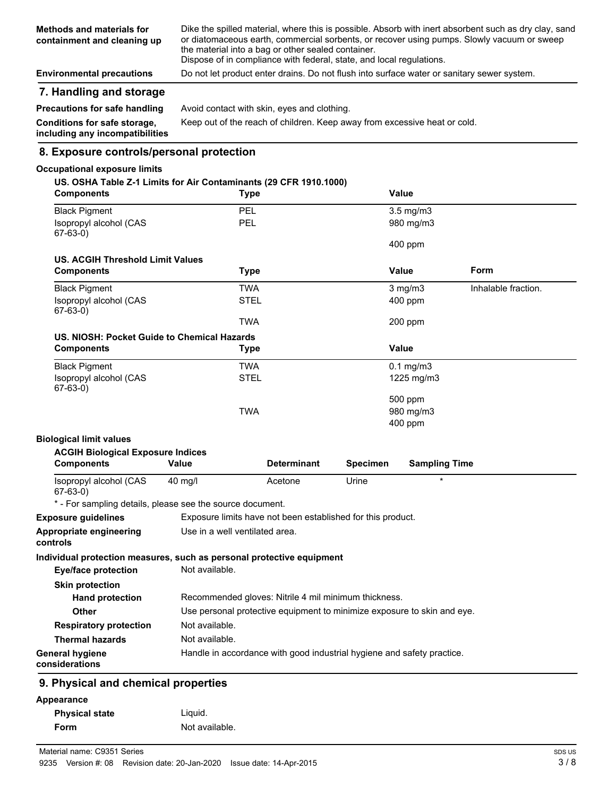| <b>Environmental precautions</b><br>7. Handling and storage     | Do not let product enter drains. Do not flush into surface water or sanitary sewer system.                                                                                                                                                                                                                                        |
|-----------------------------------------------------------------|-----------------------------------------------------------------------------------------------------------------------------------------------------------------------------------------------------------------------------------------------------------------------------------------------------------------------------------|
| <b>Methods and materials for</b><br>containment and cleaning up | Dike the spilled material, where this is possible. Absorb with inert absorbent such as dry clay, sand<br>or diatomaceous earth, commercial sorbents, or recover using pumps. Slowly vacuum or sweep<br>the material into a bag or other sealed container.<br>Dispose of in compliance with federal, state, and local regulations. |

| <b>Precautions for safe handling</b>                            | Avoid contact with skin, eyes and clothing.                               |
|-----------------------------------------------------------------|---------------------------------------------------------------------------|
| Conditions for safe storage,<br>including any incompatibilities | Keep out of the reach of children. Keep away from excessive heat or cold. |

# **8. Exposure controls/personal protection**

### **Occupational exposure limits**

| <b>Components</b>                                                     | Type                                                                    |                    |                 | <b>Value</b>         |                     |
|-----------------------------------------------------------------------|-------------------------------------------------------------------------|--------------------|-----------------|----------------------|---------------------|
| <b>Black Pigment</b>                                                  | <b>PEL</b>                                                              |                    |                 | $3.5$ mg/m $3$       |                     |
| Isopropyl alcohol (CAS<br>67-63-0)                                    | <b>PEL</b>                                                              |                    |                 | 980 mg/m3            |                     |
|                                                                       |                                                                         |                    |                 | 400 ppm              |                     |
| <b>US. ACGIH Threshold Limit Values</b>                               |                                                                         |                    |                 |                      |                     |
| <b>Components</b>                                                     | Type                                                                    |                    |                 | <b>Value</b>         | Form                |
| <b>Black Pigment</b>                                                  | <b>TWA</b>                                                              |                    |                 | $3 \text{ mg/m}$     | Inhalable fraction. |
| Isopropyl alcohol (CAS<br>$67-63-0)$                                  | <b>STEL</b>                                                             |                    |                 | $400$ ppm            |                     |
|                                                                       | TWA                                                                     |                    |                 | 200 ppm              |                     |
| US. NIOSH: Pocket Guide to Chemical Hazards                           |                                                                         |                    |                 |                      |                     |
| <b>Components</b>                                                     | Type                                                                    |                    |                 | <b>Value</b>         |                     |
| <b>Black Pigment</b>                                                  | <b>TWA</b>                                                              |                    |                 | $0.1$ mg/m $3$       |                     |
| Isopropyl alcohol (CAS<br>$67-63-0)$                                  | <b>STEL</b>                                                             |                    |                 | 1225 mg/m3           |                     |
|                                                                       |                                                                         |                    |                 | 500 ppm              |                     |
|                                                                       |                                                                         |                    |                 |                      |                     |
|                                                                       | <b>TWA</b>                                                              |                    |                 | 980 mg/m3            |                     |
|                                                                       |                                                                         |                    |                 | 400 ppm              |                     |
| <b>Biological limit values</b>                                        |                                                                         |                    |                 |                      |                     |
| <b>ACGIH Biological Exposure Indices</b>                              |                                                                         |                    |                 |                      |                     |
| <b>Components</b>                                                     | Value                                                                   | <b>Determinant</b> | <b>Specimen</b> | <b>Sampling Time</b> |                     |
| Isopropyl alcohol (CAS<br>$67-63-0)$                                  | $40 \text{ mg/l}$                                                       | Acetone            | Urine           | $\star$              |                     |
| * - For sampling details, please see the source document.             |                                                                         |                    |                 |                      |                     |
| <b>Exposure guidelines</b>                                            | Exposure limits have not been established for this product.             |                    |                 |                      |                     |
| Appropriate engineering<br>controls                                   | Use in a well ventilated area.                                          |                    |                 |                      |                     |
| Individual protection measures, such as personal protective equipment |                                                                         |                    |                 |                      |                     |
| <b>Eye/face protection</b>                                            | Not available.                                                          |                    |                 |                      |                     |
|                                                                       |                                                                         |                    |                 |                      |                     |
| <b>Skin protection</b><br><b>Hand protection</b>                      | Recommended gloves: Nitrile 4 mil minimum thickness.                    |                    |                 |                      |                     |
| <b>Other</b>                                                          | Use personal protective equipment to minimize exposure to skin and eye. |                    |                 |                      |                     |
| <b>Respiratory protection</b>                                         | Not available.                                                          |                    |                 |                      |                     |
| <b>Thermal hazards</b>                                                | Not available.                                                          |                    |                 |                      |                     |

| Appearance            |                |
|-----------------------|----------------|
| <b>Physical state</b> | Liguid.        |
| Form                  | Not available. |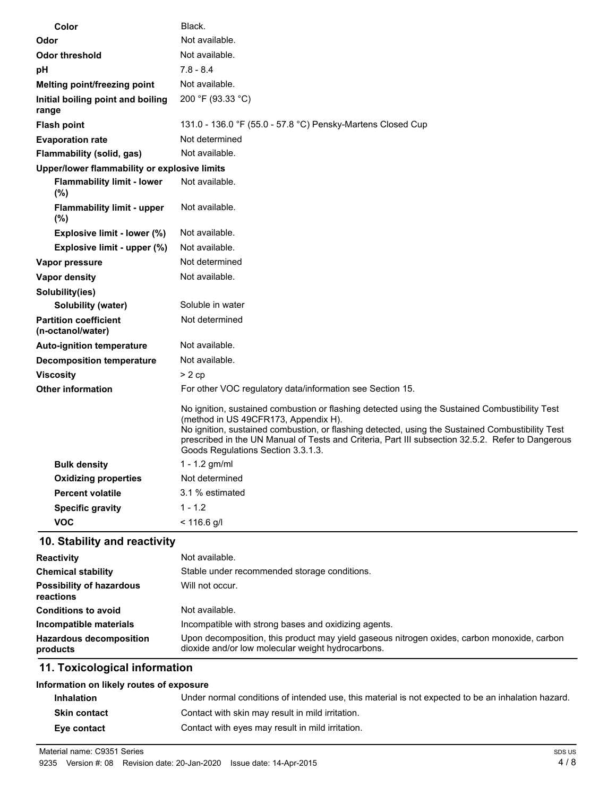| Color                                             | Black.                                                                                                                                                                                                                                                                                                                                                                                |
|---------------------------------------------------|---------------------------------------------------------------------------------------------------------------------------------------------------------------------------------------------------------------------------------------------------------------------------------------------------------------------------------------------------------------------------------------|
| Odor                                              | Not available.                                                                                                                                                                                                                                                                                                                                                                        |
| <b>Odor threshold</b>                             | Not available.                                                                                                                                                                                                                                                                                                                                                                        |
| рH                                                | $7.8 - 8.4$                                                                                                                                                                                                                                                                                                                                                                           |
| Melting point/freezing point                      | Not available.                                                                                                                                                                                                                                                                                                                                                                        |
| Initial boiling point and boiling<br>range        | 200 °F (93.33 °C)                                                                                                                                                                                                                                                                                                                                                                     |
| <b>Flash point</b>                                | 131.0 - 136.0 °F (55.0 - 57.8 °C) Pensky-Martens Closed Cup                                                                                                                                                                                                                                                                                                                           |
| <b>Evaporation rate</b>                           | Not determined                                                                                                                                                                                                                                                                                                                                                                        |
| Flammability (solid, gas)                         | Not available.                                                                                                                                                                                                                                                                                                                                                                        |
| Upper/lower flammability or explosive limits      |                                                                                                                                                                                                                                                                                                                                                                                       |
| <b>Flammability limit - lower</b><br>$(\%)$       | Not available.                                                                                                                                                                                                                                                                                                                                                                        |
| <b>Flammability limit - upper</b><br>$(\%)$       | Not available.                                                                                                                                                                                                                                                                                                                                                                        |
| Explosive limit - lower (%)                       | Not available.                                                                                                                                                                                                                                                                                                                                                                        |
| Explosive limit - upper (%)                       | Not available.                                                                                                                                                                                                                                                                                                                                                                        |
| Vapor pressure                                    | Not determined                                                                                                                                                                                                                                                                                                                                                                        |
| <b>Vapor density</b>                              | Not available.                                                                                                                                                                                                                                                                                                                                                                        |
| Solubility(ies)                                   |                                                                                                                                                                                                                                                                                                                                                                                       |
| Solubility (water)                                | Soluble in water                                                                                                                                                                                                                                                                                                                                                                      |
| <b>Partition coefficient</b><br>(n-octanol/water) | Not determined                                                                                                                                                                                                                                                                                                                                                                        |
| <b>Auto-ignition temperature</b>                  | Not available.                                                                                                                                                                                                                                                                                                                                                                        |
| <b>Decomposition temperature</b>                  | Not available.                                                                                                                                                                                                                                                                                                                                                                        |
| <b>Viscosity</b>                                  | > 2cp                                                                                                                                                                                                                                                                                                                                                                                 |
| <b>Other information</b>                          | For other VOC regulatory data/information see Section 15.                                                                                                                                                                                                                                                                                                                             |
|                                                   | No ignition, sustained combustion or flashing detected using the Sustained Combustibility Test<br>(method in US 49CFR173, Appendix H).<br>No ignition, sustained combustion, or flashing detected, using the Sustained Combustibility Test<br>prescribed in the UN Manual of Tests and Criteria, Part III subsection 32.5.2. Refer to Dangerous<br>Goods Regulations Section 3.3.1.3. |
| <b>Bulk density</b>                               | 1 - 1.2 gm/ml                                                                                                                                                                                                                                                                                                                                                                         |
| <b>Oxidizing properties</b>                       | Not determined                                                                                                                                                                                                                                                                                                                                                                        |
| <b>Percent volatile</b>                           | 3.1 % estimated                                                                                                                                                                                                                                                                                                                                                                       |
| <b>Specific gravity</b>                           | $1 - 1.2$                                                                                                                                                                                                                                                                                                                                                                             |
| <b>VOC</b>                                        | < 116.6 g/l                                                                                                                                                                                                                                                                                                                                                                           |

# **10. Stability and reactivity**

| <b>Reactivity</b>                            | Not available.                                                                                                                                   |
|----------------------------------------------|--------------------------------------------------------------------------------------------------------------------------------------------------|
| <b>Chemical stability</b>                    | Stable under recommended storage conditions.                                                                                                     |
| <b>Possibility of hazardous</b><br>reactions | Will not occur.                                                                                                                                  |
| <b>Conditions to avoid</b>                   | Not available.                                                                                                                                   |
| Incompatible materials                       | Incompatible with strong bases and oxidizing agents.                                                                                             |
| <b>Hazardous decomposition</b><br>products   | Upon decomposition, this product may yield gaseous nitrogen oxides, carbon monoxide, carbon<br>dioxide and/or low molecular weight hydrocarbons. |

# **11. Toxicological information**

## **Information on likely routes of exposure**

| Inhalation          | Under normal conditions of intended use, this material is not expected to be an inhalation hazard. |
|---------------------|----------------------------------------------------------------------------------------------------|
| <b>Skin contact</b> | Contact with skin may result in mild irritation.                                                   |
| Eve contact         | Contact with eyes may result in mild irritation.                                                   |

Material name: C9351 Series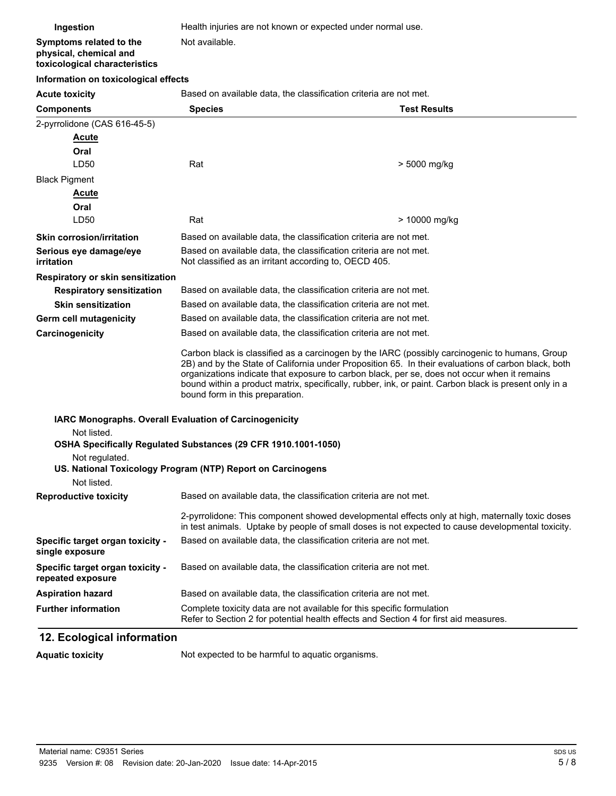| Ingestion                                                     | Health injuries are not known or expected under normal use.                                                                                                                                                                                                                                                                                                                                                                                       |                     |
|---------------------------------------------------------------|---------------------------------------------------------------------------------------------------------------------------------------------------------------------------------------------------------------------------------------------------------------------------------------------------------------------------------------------------------------------------------------------------------------------------------------------------|---------------------|
| Symptoms related to the                                       | Not available.                                                                                                                                                                                                                                                                                                                                                                                                                                    |                     |
| physical, chemical and<br>toxicological characteristics       |                                                                                                                                                                                                                                                                                                                                                                                                                                                   |                     |
| Information on toxicological effects                          |                                                                                                                                                                                                                                                                                                                                                                                                                                                   |                     |
| <b>Acute toxicity</b>                                         | Based on available data, the classification criteria are not met.                                                                                                                                                                                                                                                                                                                                                                                 |                     |
| <b>Components</b>                                             | <b>Species</b>                                                                                                                                                                                                                                                                                                                                                                                                                                    | <b>Test Results</b> |
| 2-pyrrolidone (CAS 616-45-5)                                  |                                                                                                                                                                                                                                                                                                                                                                                                                                                   |                     |
| <b>Acute</b>                                                  |                                                                                                                                                                                                                                                                                                                                                                                                                                                   |                     |
| Oral                                                          |                                                                                                                                                                                                                                                                                                                                                                                                                                                   |                     |
| LD50                                                          | Rat                                                                                                                                                                                                                                                                                                                                                                                                                                               | > 5000 mg/kg        |
| <b>Black Pigment</b>                                          |                                                                                                                                                                                                                                                                                                                                                                                                                                                   |                     |
| <b>Acute</b>                                                  |                                                                                                                                                                                                                                                                                                                                                                                                                                                   |                     |
| Oral                                                          |                                                                                                                                                                                                                                                                                                                                                                                                                                                   |                     |
| LD50                                                          | Rat                                                                                                                                                                                                                                                                                                                                                                                                                                               | > 10000 mg/kg       |
| <b>Skin corrosion/irritation</b>                              | Based on available data, the classification criteria are not met.                                                                                                                                                                                                                                                                                                                                                                                 |                     |
| Serious eye damage/eye                                        | Based on available data, the classification criteria are not met.<br>Not classified as an irritant according to, OECD 405.                                                                                                                                                                                                                                                                                                                        |                     |
| irritation                                                    |                                                                                                                                                                                                                                                                                                                                                                                                                                                   |                     |
| <b>Respiratory or skin sensitization</b>                      |                                                                                                                                                                                                                                                                                                                                                                                                                                                   |                     |
| <b>Respiratory sensitization</b>                              | Based on available data, the classification criteria are not met.                                                                                                                                                                                                                                                                                                                                                                                 |                     |
| <b>Skin sensitization</b>                                     | Based on available data, the classification criteria are not met.                                                                                                                                                                                                                                                                                                                                                                                 |                     |
| Germ cell mutagenicity                                        | Based on available data, the classification criteria are not met.                                                                                                                                                                                                                                                                                                                                                                                 |                     |
| Carcinogenicity                                               | Based on available data, the classification criteria are not met.                                                                                                                                                                                                                                                                                                                                                                                 |                     |
|                                                               | Carbon black is classified as a carcinogen by the IARC (possibly carcinogenic to humans, Group<br>2B) and by the State of California under Proposition 65. In their evaluations of carbon black, both<br>organizations indicate that exposure to carbon black, per se, does not occur when it remains<br>bound within a product matrix, specifically, rubber, ink, or paint. Carbon black is present only in a<br>bound form in this preparation. |                     |
| <b>IARC Monographs. Overall Evaluation of Carcinogenicity</b> |                                                                                                                                                                                                                                                                                                                                                                                                                                                   |                     |
| Not listed.                                                   |                                                                                                                                                                                                                                                                                                                                                                                                                                                   |                     |
|                                                               | OSHA Specifically Regulated Substances (29 CFR 1910.1001-1050)                                                                                                                                                                                                                                                                                                                                                                                    |                     |
| Not regulated.                                                |                                                                                                                                                                                                                                                                                                                                                                                                                                                   |                     |
|                                                               | US. National Toxicology Program (NTP) Report on Carcinogens                                                                                                                                                                                                                                                                                                                                                                                       |                     |
| Not listed.                                                   |                                                                                                                                                                                                                                                                                                                                                                                                                                                   |                     |
| <b>Reproductive toxicity</b>                                  | Based on available data, the classification criteria are not met.                                                                                                                                                                                                                                                                                                                                                                                 |                     |
|                                                               | 2-pyrrolidone: This component showed developmental effects only at high, maternally toxic doses<br>in test animals. Uptake by people of small doses is not expected to cause developmental toxicity.                                                                                                                                                                                                                                              |                     |
| Specific target organ toxicity -<br>single exposure           | Based on available data, the classification criteria are not met.                                                                                                                                                                                                                                                                                                                                                                                 |                     |
| Specific target organ toxicity -<br>repeated exposure         | Based on available data, the classification criteria are not met.                                                                                                                                                                                                                                                                                                                                                                                 |                     |
| <b>Aspiration hazard</b>                                      | Based on available data, the classification criteria are not met.                                                                                                                                                                                                                                                                                                                                                                                 |                     |
| <b>Further information</b>                                    | Complete toxicity data are not available for this specific formulation<br>Refer to Section 2 for potential health effects and Section 4 for first aid measures.                                                                                                                                                                                                                                                                                   |                     |

# **12. Ecological information**

Aquatic toxicity **Not** expected to be harmful to aquatic organisms.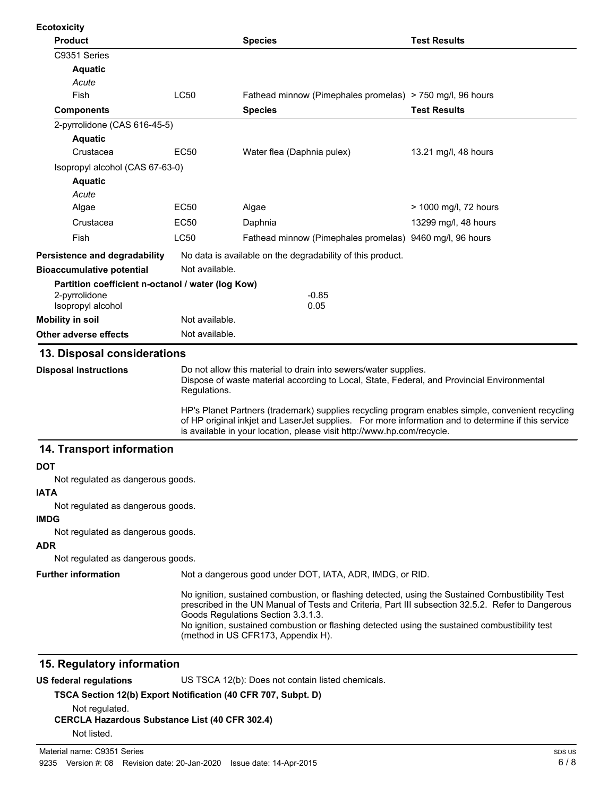| <b>Ecotoxicity</b>                                                                                                                                                                                            |                |                                                                                                                                                                                                                                                                                                                                                                                     |                       |
|---------------------------------------------------------------------------------------------------------------------------------------------------------------------------------------------------------------|----------------|-------------------------------------------------------------------------------------------------------------------------------------------------------------------------------------------------------------------------------------------------------------------------------------------------------------------------------------------------------------------------------------|-----------------------|
| <b>Product</b>                                                                                                                                                                                                |                | <b>Species</b>                                                                                                                                                                                                                                                                                                                                                                      | <b>Test Results</b>   |
| C9351 Series                                                                                                                                                                                                  |                |                                                                                                                                                                                                                                                                                                                                                                                     |                       |
| <b>Aquatic</b>                                                                                                                                                                                                |                |                                                                                                                                                                                                                                                                                                                                                                                     |                       |
| Acute                                                                                                                                                                                                         |                |                                                                                                                                                                                                                                                                                                                                                                                     |                       |
| Fish                                                                                                                                                                                                          | <b>LC50</b>    | Fathead minnow (Pimephales promelas) > 750 mg/l, 96 hours                                                                                                                                                                                                                                                                                                                           |                       |
| <b>Components</b>                                                                                                                                                                                             |                | <b>Species</b>                                                                                                                                                                                                                                                                                                                                                                      | <b>Test Results</b>   |
| 2-pyrrolidone (CAS 616-45-5)                                                                                                                                                                                  |                |                                                                                                                                                                                                                                                                                                                                                                                     |                       |
| <b>Aquatic</b>                                                                                                                                                                                                |                |                                                                                                                                                                                                                                                                                                                                                                                     |                       |
| Crustacea                                                                                                                                                                                                     | <b>EC50</b>    | Water flea (Daphnia pulex)                                                                                                                                                                                                                                                                                                                                                          | 13.21 mg/l, 48 hours  |
| Isopropyl alcohol (CAS 67-63-0)                                                                                                                                                                               |                |                                                                                                                                                                                                                                                                                                                                                                                     |                       |
| <b>Aquatic</b>                                                                                                                                                                                                |                |                                                                                                                                                                                                                                                                                                                                                                                     |                       |
| Acute                                                                                                                                                                                                         |                |                                                                                                                                                                                                                                                                                                                                                                                     |                       |
| Algae                                                                                                                                                                                                         | EC50           | Algae                                                                                                                                                                                                                                                                                                                                                                               | > 1000 mg/l, 72 hours |
| Crustacea                                                                                                                                                                                                     | EC50           | Daphnia                                                                                                                                                                                                                                                                                                                                                                             | 13299 mg/l, 48 hours  |
| Fish                                                                                                                                                                                                          | LC50           | Fathead minnow (Pimephales promelas) 9460 mg/l, 96 hours                                                                                                                                                                                                                                                                                                                            |                       |
| Persistence and degradability                                                                                                                                                                                 |                | No data is available on the degradability of this product.                                                                                                                                                                                                                                                                                                                          |                       |
| <b>Bioaccumulative potential</b>                                                                                                                                                                              | Not available. |                                                                                                                                                                                                                                                                                                                                                                                     |                       |
| Partition coefficient n-octanol / water (log Kow)                                                                                                                                                             |                |                                                                                                                                                                                                                                                                                                                                                                                     |                       |
| 2-pyrrolidone                                                                                                                                                                                                 |                | $-0.85$                                                                                                                                                                                                                                                                                                                                                                             |                       |
| Isopropyl alcohol                                                                                                                                                                                             | Not available. | 0.05                                                                                                                                                                                                                                                                                                                                                                                |                       |
| <b>Mobility in soil</b>                                                                                                                                                                                       |                |                                                                                                                                                                                                                                                                                                                                                                                     |                       |
| Other adverse effects                                                                                                                                                                                         | Not available. |                                                                                                                                                                                                                                                                                                                                                                                     |                       |
| 13. Disposal considerations                                                                                                                                                                                   |                |                                                                                                                                                                                                                                                                                                                                                                                     |                       |
| Do not allow this material to drain into sewers/water supplies.<br><b>Disposal instructions</b><br>Dispose of waste material according to Local, State, Federal, and Provincial Environmental<br>Regulations. |                |                                                                                                                                                                                                                                                                                                                                                                                     |                       |
|                                                                                                                                                                                                               |                | HP's Planet Partners (trademark) supplies recycling program enables simple, convenient recycling<br>of HP original inkjet and LaserJet supplies. For more information and to determine if this service<br>is available in your location, please visit http://www.hp.com/recycle.                                                                                                    |                       |
| 14. Transport information                                                                                                                                                                                     |                |                                                                                                                                                                                                                                                                                                                                                                                     |                       |
| <b>DOT</b>                                                                                                                                                                                                    |                |                                                                                                                                                                                                                                                                                                                                                                                     |                       |
| Not regulated as dangerous goods.                                                                                                                                                                             |                |                                                                                                                                                                                                                                                                                                                                                                                     |                       |
| <b>IATA</b>                                                                                                                                                                                                   |                |                                                                                                                                                                                                                                                                                                                                                                                     |                       |
| Not regulated as dangerous goods.                                                                                                                                                                             |                |                                                                                                                                                                                                                                                                                                                                                                                     |                       |
| <b>IMDG</b>                                                                                                                                                                                                   |                |                                                                                                                                                                                                                                                                                                                                                                                     |                       |
| Not regulated as dangerous goods.                                                                                                                                                                             |                |                                                                                                                                                                                                                                                                                                                                                                                     |                       |
| <b>ADR</b>                                                                                                                                                                                                    |                |                                                                                                                                                                                                                                                                                                                                                                                     |                       |
| Not regulated as dangerous goods.                                                                                                                                                                             |                |                                                                                                                                                                                                                                                                                                                                                                                     |                       |
| <b>Further information</b>                                                                                                                                                                                    |                | Not a dangerous good under DOT, IATA, ADR, IMDG, or RID.                                                                                                                                                                                                                                                                                                                            |                       |
|                                                                                                                                                                                                               |                | No ignition, sustained combustion, or flashing detected, using the Sustained Combustibility Test<br>prescribed in the UN Manual of Tests and Criteria, Part III subsection 32.5.2. Refer to Dangerous<br>Goods Regulations Section 3.3.1.3.<br>No ignition, sustained combustion or flashing detected using the sustained combustibility test<br>(method in US CFR173, Appendix H). |                       |
|                                                                                                                                                                                                               |                |                                                                                                                                                                                                                                                                                                                                                                                     |                       |
| 15. Regulatory information                                                                                                                                                                                    |                |                                                                                                                                                                                                                                                                                                                                                                                     |                       |
| <b>US federal regulations</b>                                                                                                                                                                                 |                | US TSCA 12(b): Does not contain listed chemicals.                                                                                                                                                                                                                                                                                                                                   |                       |

**TSCA Section 12(b) Export Notification (40 CFR 707, Subpt. D)**

Not regulated.

### **CERCLA Hazardous Substance List (40 CFR 302.4)**

Not listed.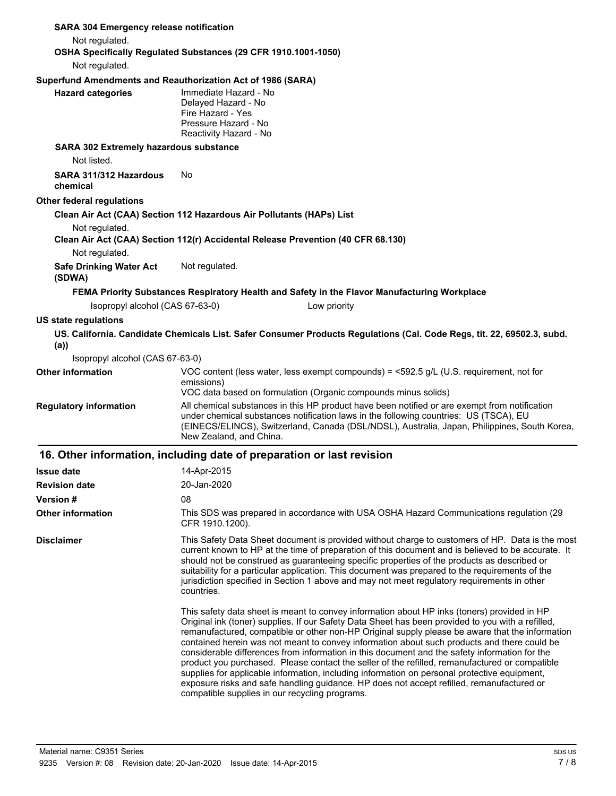| <b>SARA 304 Emergency release notification</b>                                                     |                                                                                                                     |              |                                                                |                                                                                                                                                                                                                                                                                        |
|----------------------------------------------------------------------------------------------------|---------------------------------------------------------------------------------------------------------------------|--------------|----------------------------------------------------------------|----------------------------------------------------------------------------------------------------------------------------------------------------------------------------------------------------------------------------------------------------------------------------------------|
| Not regulated.                                                                                     |                                                                                                                     |              |                                                                |                                                                                                                                                                                                                                                                                        |
| OSHA Specifically Regulated Substances (29 CFR 1910.1001-1050)                                     |                                                                                                                     |              |                                                                |                                                                                                                                                                                                                                                                                        |
| Not regulated.                                                                                     |                                                                                                                     |              |                                                                |                                                                                                                                                                                                                                                                                        |
| Superfund Amendments and Reauthorization Act of 1986 (SARA)                                        |                                                                                                                     |              |                                                                |                                                                                                                                                                                                                                                                                        |
| <b>Hazard categories</b>                                                                           | Immediate Hazard - No<br>Delayed Hazard - No<br>Fire Hazard - Yes<br>Pressure Hazard - No<br>Reactivity Hazard - No |              |                                                                |                                                                                                                                                                                                                                                                                        |
| <b>SARA 302 Extremely hazardous substance</b>                                                      |                                                                                                                     |              |                                                                |                                                                                                                                                                                                                                                                                        |
| Not listed.                                                                                        |                                                                                                                     |              |                                                                |                                                                                                                                                                                                                                                                                        |
| SARA 311/312 Hazardous<br>chemical                                                                 | No                                                                                                                  |              |                                                                |                                                                                                                                                                                                                                                                                        |
| <b>Other federal regulations</b>                                                                   |                                                                                                                     |              |                                                                |                                                                                                                                                                                                                                                                                        |
| Clean Air Act (CAA) Section 112 Hazardous Air Pollutants (HAPs) List                               |                                                                                                                     |              |                                                                |                                                                                                                                                                                                                                                                                        |
| Not regulated.<br>Clean Air Act (CAA) Section 112(r) Accidental Release Prevention (40 CFR 68.130) |                                                                                                                     |              |                                                                |                                                                                                                                                                                                                                                                                        |
| Not regulated.                                                                                     |                                                                                                                     |              |                                                                |                                                                                                                                                                                                                                                                                        |
| <b>Safe Drinking Water Act</b><br>(SDWA)                                                           | Not regulated.                                                                                                      |              |                                                                |                                                                                                                                                                                                                                                                                        |
| FEMA Priority Substances Respiratory Health and Safety in the Flavor Manufacturing Workplace       |                                                                                                                     |              |                                                                |                                                                                                                                                                                                                                                                                        |
| Isopropyl alcohol (CAS 67-63-0)                                                                    |                                                                                                                     | Low priority |                                                                |                                                                                                                                                                                                                                                                                        |
| <b>US state regulations</b>                                                                        |                                                                                                                     |              |                                                                |                                                                                                                                                                                                                                                                                        |
| (a)                                                                                                |                                                                                                                     |              |                                                                | US. California. Candidate Chemicals List. Safer Consumer Products Regulations (Cal. Code Regs, tit. 22, 69502.3, subd.                                                                                                                                                                 |
| Isopropyl alcohol (CAS 67-63-0)                                                                    |                                                                                                                     |              |                                                                |                                                                                                                                                                                                                                                                                        |
| <b>Other information</b>                                                                           | emissions)                                                                                                          |              |                                                                | VOC content (less water, less exempt compounds) = $\leq$ 592.5 g/L (U.S. requirement, not for                                                                                                                                                                                          |
|                                                                                                    |                                                                                                                     |              | VOC data based on formulation (Organic compounds minus solids) |                                                                                                                                                                                                                                                                                        |
| <b>Regulatory information</b>                                                                      | New Zealand, and China.                                                                                             |              |                                                                | All chemical substances in this HP product have been notified or are exempt from notification<br>under chemical substances notification laws in the following countries: US (TSCA), EU<br>(EINECS/ELINCS), Switzerland, Canada (DSL/NDSL), Australia, Japan, Philippines, South Korea, |
| 16. Other information, including date of preparation or last revision                              |                                                                                                                     |              |                                                                |                                                                                                                                                                                                                                                                                        |
| <b>Issue date</b>                                                                                  | 14-Apr-2015                                                                                                         |              |                                                                |                                                                                                                                                                                                                                                                                        |
| <b>Revision date</b>                                                                               | 20-Jan-2020                                                                                                         |              |                                                                |                                                                                                                                                                                                                                                                                        |
| <b>Version #</b>                                                                                   | 08                                                                                                                  |              |                                                                |                                                                                                                                                                                                                                                                                        |
| <b>Other information</b>                                                                           |                                                                                                                     |              |                                                                | This SDS was prepared in accordance with USA OSHA Hazard Communications regulation (29                                                                                                                                                                                                 |

**Disclaimer**

CFR 1910.1200). This Safety Data Sheet document is provided without charge to customers of HP. Data is the most current known to HP at the time of preparation of this document and is believed to be accurate. It should not be construed as guaranteeing specific properties of the products as described or suitability for a particular application. This document was prepared to the requirements of the jurisdiction specified in Section 1 above and may not meet regulatory requirements in other countries.

This safety data sheet is meant to convey information about HP inks (toners) provided in HP Original ink (toner) supplies. If our Safety Data Sheet has been provided to you with a refilled, remanufactured, compatible or other non-HP Original supply please be aware that the information contained herein was not meant to convey information about such products and there could be considerable differences from information in this document and the safety information for the product you purchased. Please contact the seller of the refilled, remanufactured or compatible supplies for applicable information, including information on personal protective equipment, exposure risks and safe handling guidance. HP does not accept refilled, remanufactured or compatible supplies in our recycling programs.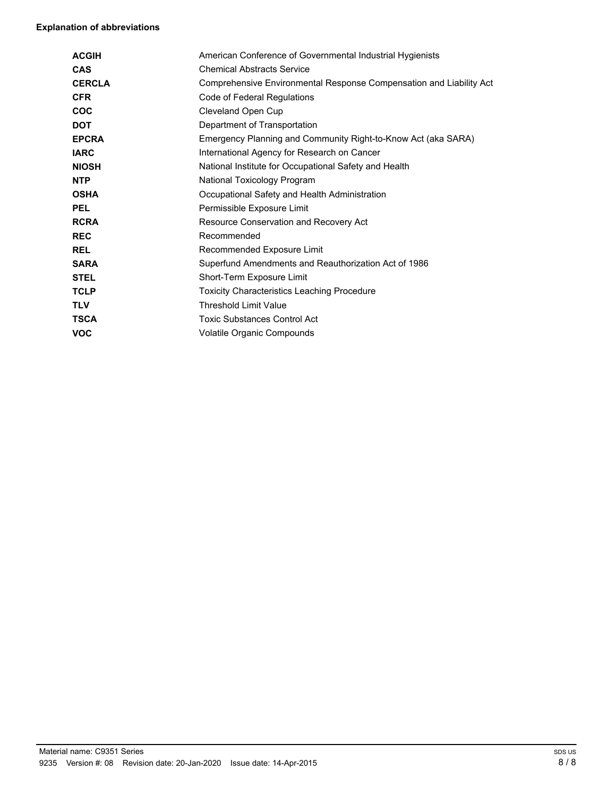#### **Explanation of abbreviations**

| <b>ACGIH</b>  | American Conference of Governmental Industrial Hygienists           |
|---------------|---------------------------------------------------------------------|
| <b>CAS</b>    | <b>Chemical Abstracts Service</b>                                   |
| <b>CERCLA</b> | Comprehensive Environmental Response Compensation and Liability Act |
| <b>CFR</b>    | Code of Federal Regulations                                         |
| <b>COC</b>    | Cleveland Open Cup                                                  |
| <b>DOT</b>    | Department of Transportation                                        |
| <b>EPCRA</b>  | Emergency Planning and Community Right-to-Know Act (aka SARA)       |
| <b>IARC</b>   | International Agency for Research on Cancer                         |
| <b>NIOSH</b>  | National Institute for Occupational Safety and Health               |
| <b>NTP</b>    | National Toxicology Program                                         |
| <b>OSHA</b>   | Occupational Safety and Health Administration                       |
| <b>PEL</b>    | Permissible Exposure Limit                                          |
| <b>RCRA</b>   | Resource Conservation and Recovery Act                              |
| <b>REC</b>    | Recommended                                                         |
| <b>REL</b>    | Recommended Exposure Limit                                          |
| <b>SARA</b>   | Superfund Amendments and Reauthorization Act of 1986                |
| <b>STEL</b>   | Short-Term Exposure Limit                                           |
| <b>TCLP</b>   | <b>Toxicity Characteristics Leaching Procedure</b>                  |
| <b>TLV</b>    | <b>Threshold Limit Value</b>                                        |
| <b>TSCA</b>   | <b>Toxic Substances Control Act</b>                                 |
| <b>VOC</b>    | Volatile Organic Compounds                                          |
|               |                                                                     |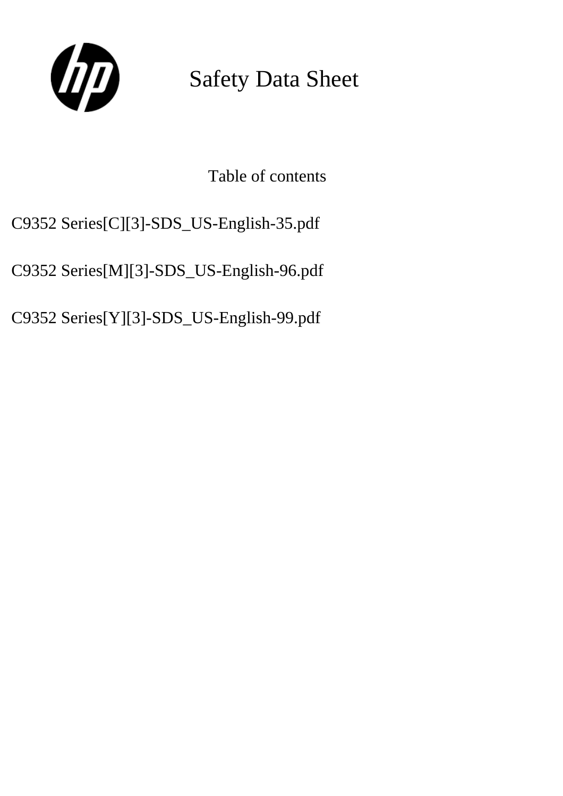

Safety Data Sheet

Table of contents

C9352 Series[C][3]-SDS\_US-English-35.pdf

C9352 Series[M][3]-SDS\_US-English-96.pdf

C9352 Series[Y][3]-SDS\_US-English-99.pdf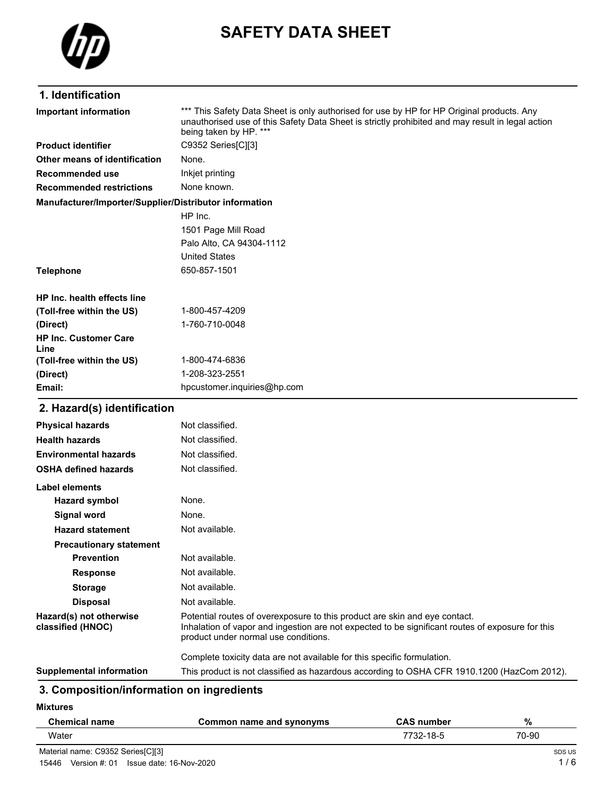

# **SAFETY DATA SHEET**

# **1. Identification**

| <b>Important information</b>                           | *** This Safety Data Sheet is only authorised for use by HP for HP Original products. Any<br>unauthorised use of this Safety Data Sheet is strictly prohibited and may result in legal action<br>being taken by HP. *** |
|--------------------------------------------------------|-------------------------------------------------------------------------------------------------------------------------------------------------------------------------------------------------------------------------|
| <b>Product identifier</b>                              | C9352 Series[C][3]                                                                                                                                                                                                      |
| Other means of identification                          | None.                                                                                                                                                                                                                   |
| Recommended use                                        | Inkjet printing                                                                                                                                                                                                         |
| <b>Recommended restrictions</b>                        | None known.                                                                                                                                                                                                             |
| Manufacturer/Importer/Supplier/Distributor information |                                                                                                                                                                                                                         |
|                                                        | HP Inc.                                                                                                                                                                                                                 |
|                                                        | 1501 Page Mill Road                                                                                                                                                                                                     |
|                                                        | Palo Alto, CA 94304-1112                                                                                                                                                                                                |
|                                                        | <b>United States</b>                                                                                                                                                                                                    |
| <b>Telephone</b>                                       | 650-857-1501                                                                                                                                                                                                            |
| <b>HP Inc. health effects line</b>                     |                                                                                                                                                                                                                         |
| (Toll-free within the US)                              | 1-800-457-4209                                                                                                                                                                                                          |
| (Direct)                                               | 1-760-710-0048                                                                                                                                                                                                          |
| <b>HP Inc. Customer Care</b><br>Line                   |                                                                                                                                                                                                                         |
| (Toll-free within the US)                              | 1-800-474-6836                                                                                                                                                                                                          |
| (Direct)                                               | 1-208-323-2551                                                                                                                                                                                                          |
| Email:                                                 | hpcustomer.inquiries@hp.com                                                                                                                                                                                             |
| 2. Hazard(s) identification                            |                                                                                                                                                                                                                         |
| <b>Physical hazards</b>                                | Not classified.                                                                                                                                                                                                         |
| <b>Health hazards</b>                                  | Not classified.                                                                                                                                                                                                         |
| <b>Environmental hazards</b>                           | Not classified.                                                                                                                                                                                                         |
| <b>OSHA defined hazards</b>                            | Not classified.                                                                                                                                                                                                         |
| Label elements                                         |                                                                                                                                                                                                                         |
| <b>Hazard symbol</b>                                   | None.                                                                                                                                                                                                                   |
| <b>Signal word</b>                                     | None.                                                                                                                                                                                                                   |
| <b>Hazard statement</b>                                | Not available.                                                                                                                                                                                                          |
| <b>Precautionary statement</b>                         |                                                                                                                                                                                                                         |
| <b>Prevention</b>                                      | Not available.                                                                                                                                                                                                          |
| <b>Response</b>                                        | Not available.                                                                                                                                                                                                          |
| <b>Storage</b>                                         | Not available.                                                                                                                                                                                                          |
| <b>Disposal</b>                                        | Not available.                                                                                                                                                                                                          |
| Hazard(s) not otherwise<br>classified (HNOC)           | Potential routes of overexposure to this product are skin and eye contact.<br>Inhalation of vapor and ingestion are not expected to be significant routes of exposure for this<br>product under normal use conditions.  |
|                                                        | Complete toxicity data are not available for this specific formulation.                                                                                                                                                 |

**Supplemental information** This product is not classified as hazardous according to OSHA CFR 1910.1200 (HazCom 2012).

# **3. Composition/information on ingredients**

**Mixtures**

| <b>Chemical name</b>              | Common name and synonyms | <b>CAS number</b> | %      |
|-----------------------------------|--------------------------|-------------------|--------|
| Water                             |                          | 7732-18-5         | 70-90  |
| Material name: C9352 Series CII31 |                          |                   | SDS US |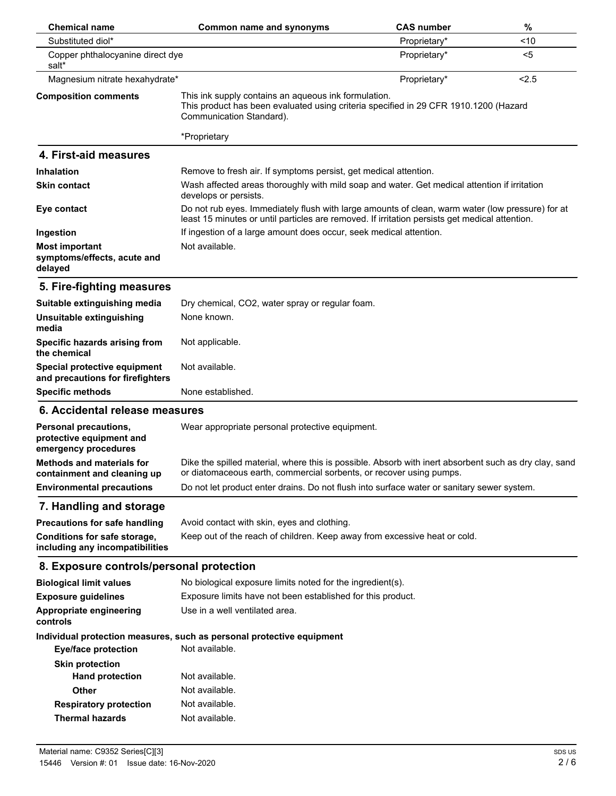| <b>Chemical name</b>                                                             | Common name and synonyms                                                                                                                                                                           | <b>CAS number</b> | $\%$  |
|----------------------------------------------------------------------------------|----------------------------------------------------------------------------------------------------------------------------------------------------------------------------------------------------|-------------------|-------|
| Substituted diol*                                                                |                                                                                                                                                                                                    | Proprietary*      | < 10  |
| Copper phthalocyanine direct dye<br>salt*                                        |                                                                                                                                                                                                    | Proprietary*      | $5$   |
| Magnesium nitrate hexahydrate*                                                   |                                                                                                                                                                                                    | Proprietary*      | < 2.5 |
| <b>Composition comments</b>                                                      | This ink supply contains an aqueous ink formulation.<br>This product has been evaluated using criteria specified in 29 CFR 1910.1200 (Hazard<br>Communication Standard).                           |                   |       |
|                                                                                  | *Proprietary                                                                                                                                                                                       |                   |       |
| 4. First-aid measures                                                            |                                                                                                                                                                                                    |                   |       |
| <b>Inhalation</b>                                                                | Remove to fresh air. If symptoms persist, get medical attention.                                                                                                                                   |                   |       |
| <b>Skin contact</b>                                                              | Wash affected areas thoroughly with mild soap and water. Get medical attention if irritation<br>develops or persists.                                                                              |                   |       |
| Eye contact                                                                      | Do not rub eyes. Immediately flush with large amounts of clean, warm water (low pressure) for at<br>least 15 minutes or until particles are removed. If irritation persists get medical attention. |                   |       |
| Ingestion                                                                        | If ingestion of a large amount does occur, seek medical attention.                                                                                                                                 |                   |       |
| <b>Most important</b><br>symptoms/effects, acute and<br>delayed                  | Not available.                                                                                                                                                                                     |                   |       |
| 5. Fire-fighting measures                                                        |                                                                                                                                                                                                    |                   |       |
| Suitable extinguishing media                                                     | Dry chemical, CO2, water spray or regular foam.                                                                                                                                                    |                   |       |
| Unsuitable extinguishing<br>media                                                | None known.                                                                                                                                                                                        |                   |       |
| Specific hazards arising from<br>the chemical                                    | Not applicable.                                                                                                                                                                                    |                   |       |
| Special protective equipment<br>and precautions for firefighters                 | Not available.                                                                                                                                                                                     |                   |       |
| <b>Specific methods</b>                                                          | None established.                                                                                                                                                                                  |                   |       |
| 6. Accidental release measures                                                   |                                                                                                                                                                                                    |                   |       |
| <b>Personal precautions,</b><br>protective equipment and<br>emergency procedures | Wear appropriate personal protective equipment.                                                                                                                                                    |                   |       |
| <b>Methods and materials for</b><br>containment and cleaning up                  | Dike the spilled material, where this is possible. Absorb with inert absorbent such as dry clay, sand<br>or diatomaceous earth, commercial sorbents, or recover using pumps.                       |                   |       |
| <b>Environmental precautions</b>                                                 | Do not let product enter drains. Do not flush into surface water or sanitary sewer system.                                                                                                         |                   |       |
| 7. Handling and storage                                                          |                                                                                                                                                                                                    |                   |       |
| <b>Precautions for safe handling</b>                                             | Avoid contact with skin, eyes and clothing.                                                                                                                                                        |                   |       |
| Conditions for safe storage,<br>including any incompatibilities                  | Keep out of the reach of children. Keep away from excessive heat or cold.                                                                                                                          |                   |       |
| 8. Exposure controls/personal protection                                         |                                                                                                                                                                                                    |                   |       |
| <b>Biological limit values</b>                                                   | No biological exposure limits noted for the ingredient(s).                                                                                                                                         |                   |       |
| <b>Exposure guidelines</b>                                                       | Exposure limits have not been established for this product.                                                                                                                                        |                   |       |
| Appropriate engineering<br>controls                                              | Use in a well ventilated area.                                                                                                                                                                     |                   |       |
|                                                                                  | Individual protection measures, such as personal protective equipment                                                                                                                              |                   |       |
| <b>Eye/face protection</b>                                                       | Not available.                                                                                                                                                                                     |                   |       |
| <b>Skin protection</b>                                                           |                                                                                                                                                                                                    |                   |       |
| <b>Hand protection</b>                                                           | Not available.                                                                                                                                                                                     |                   |       |
| Other                                                                            | Not available.                                                                                                                                                                                     |                   |       |
| <b>Respiratory protection</b>                                                    | Not available.                                                                                                                                                                                     |                   |       |
| <b>Thermal hazards</b>                                                           | Not available.                                                                                                                                                                                     |                   |       |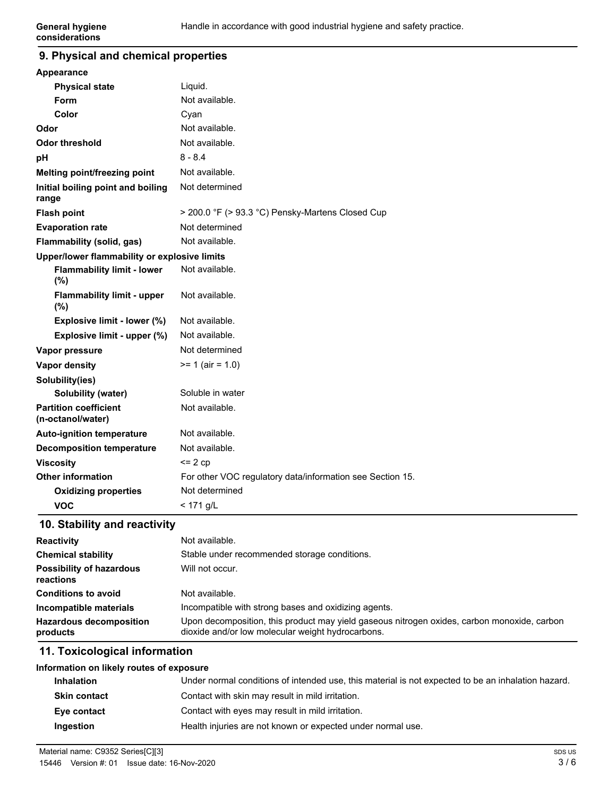#### **9. Physical and chemical properties**

| Appearance                                        |                                                           |
|---------------------------------------------------|-----------------------------------------------------------|
| <b>Physical state</b>                             | Liquid.                                                   |
| <b>Form</b>                                       | Not available.                                            |
| Color                                             | Cyan                                                      |
| Odor                                              | Not available.                                            |
| <b>Odor threshold</b>                             | Not available.                                            |
| pH                                                | $8 - 8.4$                                                 |
| Melting point/freezing point                      | Not available.                                            |
| Initial boiling point and boiling<br>range        | Not determined                                            |
| <b>Flash point</b>                                | > 200.0 °F (> 93.3 °C) Pensky-Martens Closed Cup          |
| <b>Evaporation rate</b>                           | Not determined                                            |
| Flammability (solid, gas)                         | Not available.                                            |
| Upper/lower flammability or explosive limits      |                                                           |
| <b>Flammability limit - lower</b><br>(%)          | Not available.                                            |
| <b>Flammability limit - upper</b><br>(%)          | Not available.                                            |
| Explosive limit - lower (%)                       | Not available.                                            |
| Explosive limit - upper (%)                       | Not available.                                            |
| Vapor pressure                                    | Not determined                                            |
| <b>Vapor density</b>                              | $= 1$ (air = 1.0)                                         |
| Solubility(ies)                                   |                                                           |
| Solubility (water)                                | Soluble in water                                          |
| <b>Partition coefficient</b><br>(n-octanol/water) | Not available.                                            |
| <b>Auto-ignition temperature</b>                  | Not available.                                            |
| <b>Decomposition temperature</b>                  | Not available.                                            |
| <b>Viscosity</b>                                  | $\leq$ 2 cp                                               |
| <b>Other information</b>                          | For other VOC regulatory data/information see Section 15. |
| <b>Oxidizing properties</b>                       | Not determined                                            |
| <b>VOC</b>                                        | $< 171$ g/L                                               |

### **10. Stability and reactivity**

| <b>Reactivity</b>                            | Not available.                                                                                                                                   |
|----------------------------------------------|--------------------------------------------------------------------------------------------------------------------------------------------------|
| <b>Chemical stability</b>                    | Stable under recommended storage conditions.                                                                                                     |
| <b>Possibility of hazardous</b><br>reactions | Will not occur.                                                                                                                                  |
| <b>Conditions to avoid</b>                   | Not available.                                                                                                                                   |
| Incompatible materials                       | Incompatible with strong bases and oxidizing agents.                                                                                             |
| <b>Hazardous decomposition</b><br>products   | Upon decomposition, this product may yield gaseous nitrogen oxides, carbon monoxide, carbon<br>dioxide and/or low molecular weight hydrocarbons. |

### **11. Toxicological information**

#### **Information on likely routes of exposure**

| <b>Inhalation</b>   | Under normal conditions of intended use, this material is not expected to be an inhalation hazard. |
|---------------------|----------------------------------------------------------------------------------------------------|
| <b>Skin contact</b> | Contact with skin may result in mild irritation.                                                   |
| Eye contact         | Contact with eyes may result in mild irritation.                                                   |
| Ingestion           | Health injuries are not known or expected under normal use.                                        |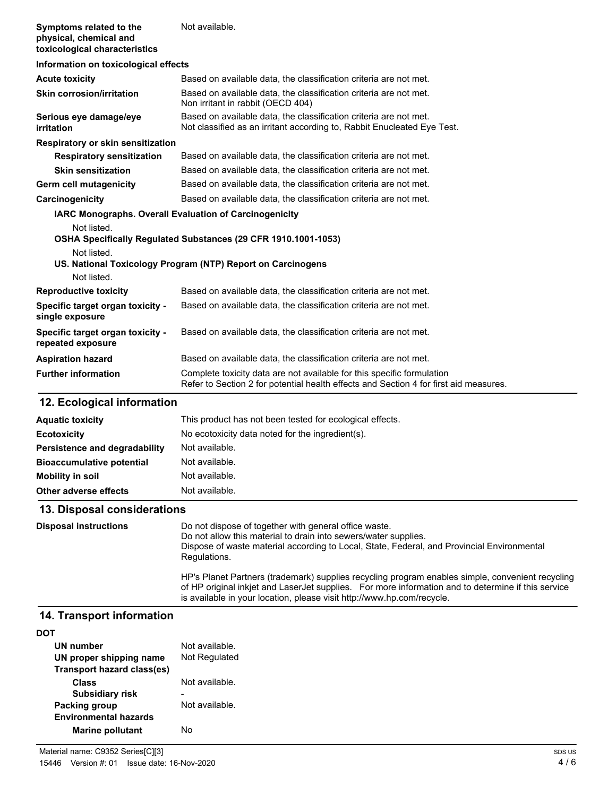| Symptoms related to the<br>physical, chemical and<br>toxicological characteristics | Not available.                                                                                                                               |
|------------------------------------------------------------------------------------|----------------------------------------------------------------------------------------------------------------------------------------------|
| Information on toxicological effects                                               |                                                                                                                                              |
| <b>Acute toxicity</b>                                                              | Based on available data, the classification criteria are not met.                                                                            |
| <b>Skin corrosion/irritation</b>                                                   | Based on available data, the classification criteria are not met.<br>Non irritant in rabbit (OECD 404)                                       |
| Serious eye damage/eye<br>irritation                                               | Based on available data, the classification criteria are not met.<br>Not classified as an irritant according to, Rabbit Enucleated Eye Test. |
| Respiratory or skin sensitization                                                  |                                                                                                                                              |
| <b>Respiratory sensitization</b>                                                   | Based on available data, the classification criteria are not met.                                                                            |
| <b>Skin sensitization</b>                                                          | Based on available data, the classification criteria are not met.                                                                            |
| Germ cell mutagenicity                                                             | Based on available data, the classification criteria are not met.                                                                            |
| Carcinogenicity                                                                    | Based on available data, the classification criteria are not met.                                                                            |
| <b>IARC Monographs. Overall Evaluation of Carcinogenicity</b>                      |                                                                                                                                              |
| Not listed.                                                                        |                                                                                                                                              |
|                                                                                    | OSHA Specifically Regulated Substances (29 CFR 1910.1001-1053)                                                                               |
| Not listed.                                                                        |                                                                                                                                              |
| Not listed.                                                                        | US. National Toxicology Program (NTP) Report on Carcinogens                                                                                  |
|                                                                                    | Based on available data, the classification criteria are not met.                                                                            |
| <b>Reproductive toxicity</b>                                                       |                                                                                                                                              |
| Specific target organ toxicity -<br>single exposure                                | Based on available data, the classification criteria are not met.                                                                            |
| Specific target organ toxicity -<br>repeated exposure                              | Based on available data, the classification criteria are not met.                                                                            |

| repeated exposure          |                                                                                                                                                                 |
|----------------------------|-----------------------------------------------------------------------------------------------------------------------------------------------------------------|
| <b>Aspiration hazard</b>   | Based on available data, the classification criteria are not met.                                                                                               |
| <b>Further information</b> | Complete toxicity data are not available for this specific formulation<br>Refer to Section 2 for potential health effects and Section 4 for first aid measures. |

# **12. Ecological information**

| <b>Aquatic toxicity</b>          | This product has not been tested for ecological effects. |
|----------------------------------|----------------------------------------------------------|
| <b>Ecotoxicity</b>               | No ecotoxicity data noted for the ingredient(s).         |
| Persistence and degradability    | Not available.                                           |
| <b>Bioaccumulative potential</b> | Not available.                                           |
| Mobility in soil                 | Not available.                                           |
| Other adverse effects            | Not available.                                           |

# **13. Disposal considerations**

| <b>Disposal instructions</b> | Do not dispose of together with general office waste.<br>Do not allow this material to drain into sewers/water supplies.<br>Dispose of waste material according to Local, State, Federal, and Provincial Environmental<br>Regulations.                                            |
|------------------------------|-----------------------------------------------------------------------------------------------------------------------------------------------------------------------------------------------------------------------------------------------------------------------------------|
|                              | HP's Planet Partners (trademark) supplies recycling program enables simple, convenient recycling<br>of HP original inkiet and Laser Jet supplies. For more information and to determine if this service<br>is available in your location, please visit http://www.hp.com/recycle. |

# **14. Transport information**

| UN number                    | Not available. |
|------------------------------|----------------|
| UN proper shipping name      | Not Regulated  |
| Transport hazard class(es)   |                |
| Class                        | Not available. |
| <b>Subsidiary risk</b>       |                |
| <b>Packing group</b>         | Not available. |
| <b>Environmental hazards</b> |                |
| <b>Marine pollutant</b>      | N٥             |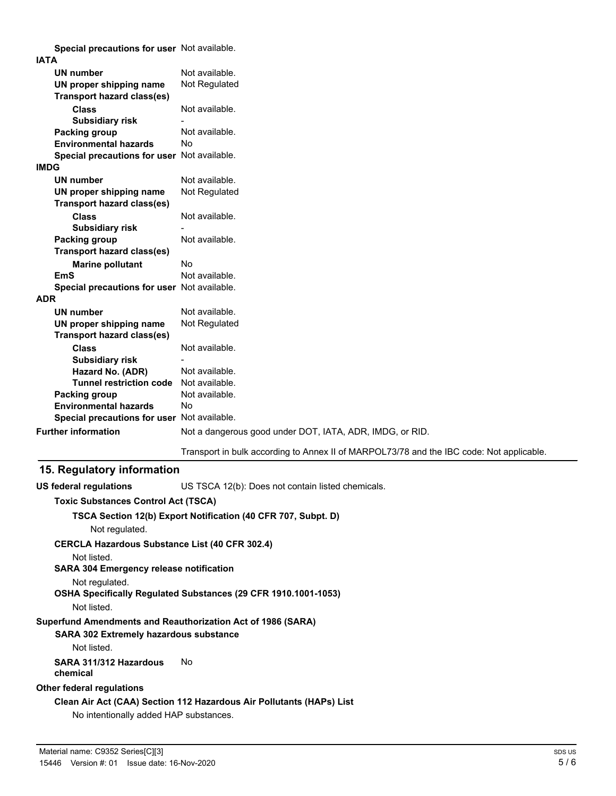**Special precautions for user** Not available.

| <b>IATA</b>                                 |                                                                                          |
|---------------------------------------------|------------------------------------------------------------------------------------------|
| <b>UN number</b>                            | Not available.                                                                           |
| UN proper shipping name                     | Not Regulated                                                                            |
| <b>Transport hazard class(es)</b>           |                                                                                          |
| <b>Class</b>                                | Not available.                                                                           |
| <b>Subsidiary risk</b>                      |                                                                                          |
| Packing group                               | Not available.                                                                           |
| <b>Environmental hazards</b>                | <b>No</b>                                                                                |
| Special precautions for user Not available. |                                                                                          |
| <b>IMDG</b>                                 |                                                                                          |
| <b>UN number</b>                            | Not available.                                                                           |
| UN proper shipping name                     | Not Regulated                                                                            |
| Transport hazard class(es)                  |                                                                                          |
| <b>Class</b>                                | Not available.                                                                           |
| <b>Subsidiary risk</b>                      |                                                                                          |
| <b>Packing group</b>                        | Not available.                                                                           |
| <b>Transport hazard class(es)</b>           |                                                                                          |
| <b>Marine pollutant</b>                     | No                                                                                       |
| <b>EmS</b>                                  | Not available.                                                                           |
| Special precautions for user Not available. |                                                                                          |
| <b>ADR</b>                                  |                                                                                          |
| <b>UN number</b>                            | Not available.                                                                           |
| UN proper shipping name                     | Not Regulated                                                                            |
| <b>Transport hazard class(es)</b>           |                                                                                          |
| <b>Class</b>                                | Not available.                                                                           |
| <b>Subsidiary risk</b>                      |                                                                                          |
| Hazard No. (ADR)                            | Not available.                                                                           |
| <b>Tunnel restriction code</b>              | Not available.                                                                           |
| Packing group                               | Not available.                                                                           |
| <b>Environmental hazards</b>                | Nο                                                                                       |
| Special precautions for user Not available. |                                                                                          |
| <b>Further information</b>                  | Not a dangerous good under DOT, IATA, ADR, IMDG, or RID.                                 |
|                                             | Transport in bulk according to Annex II of MARPOL73/78 and the IBC code: Not applicable. |

### **15. Regulatory information**

**US federal regulations** US TSCA 12(b): Does not contain listed chemicals.

#### **Toxic Substances Control Act (TSCA)**

#### **TSCA Section 12(b) Export Notification (40 CFR 707, Subpt. D)**

Not regulated.

**CERCLA Hazardous Substance List (40 CFR 302.4)**

Not listed.

**SARA 304 Emergency release notification**

Not regulated.

**OSHA Specifically Regulated Substances (29 CFR 1910.1001-1053)**

### Not listed.

### **Superfund Amendments and Reauthorization Act of 1986 (SARA)**

### **SARA 302 Extremely hazardous substance**

Not listed.

#### **SARA 311/312 Hazardous** No **chemical**

### **Other federal regulations**

# **Clean Air Act (CAA) Section 112 Hazardous Air Pollutants (HAPs) List**

No intentionally added HAP substances.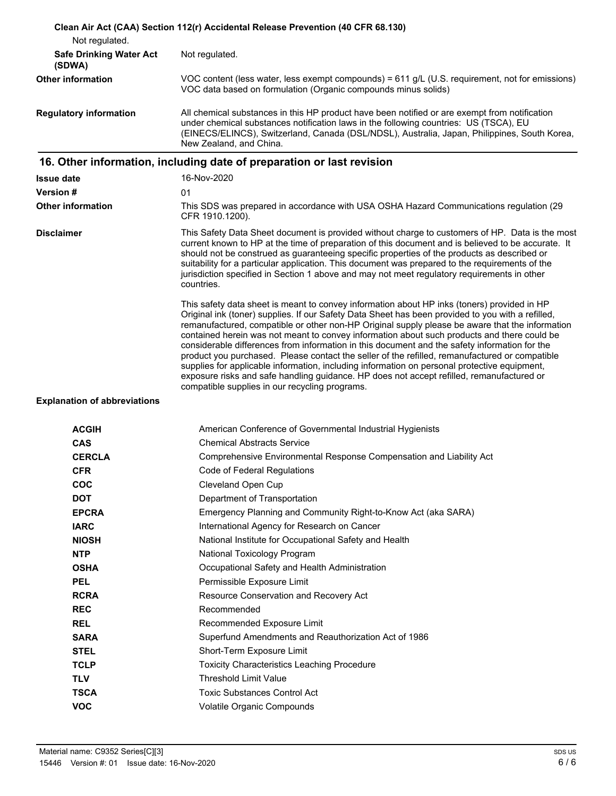|                                          | Clean Air Act (CAA) Section 112(r) Accidental Release Prevention (40 CFR 68.130)                                                                                                                                                                                                                                                                                                                                                                                                                                                                                                                                                                                                                                                                                                                                                                     |
|------------------------------------------|------------------------------------------------------------------------------------------------------------------------------------------------------------------------------------------------------------------------------------------------------------------------------------------------------------------------------------------------------------------------------------------------------------------------------------------------------------------------------------------------------------------------------------------------------------------------------------------------------------------------------------------------------------------------------------------------------------------------------------------------------------------------------------------------------------------------------------------------------|
| Not regulated.                           |                                                                                                                                                                                                                                                                                                                                                                                                                                                                                                                                                                                                                                                                                                                                                                                                                                                      |
| <b>Safe Drinking Water Act</b><br>(SDWA) | Not regulated.                                                                                                                                                                                                                                                                                                                                                                                                                                                                                                                                                                                                                                                                                                                                                                                                                                       |
| <b>Other information</b>                 | VOC content (less water, less exempt compounds) = 611 g/L (U.S. requirement, not for emissions)<br>VOC data based on formulation (Organic compounds minus solids)                                                                                                                                                                                                                                                                                                                                                                                                                                                                                                                                                                                                                                                                                    |
| <b>Regulatory information</b>            | All chemical substances in this HP product have been notified or are exempt from notification<br>under chemical substances notification laws in the following countries: US (TSCA), EU<br>(EINECS/ELINCS), Switzerland, Canada (DSL/NDSL), Australia, Japan, Philippines, South Korea,<br>New Zealand, and China.                                                                                                                                                                                                                                                                                                                                                                                                                                                                                                                                    |
|                                          | 16. Other information, including date of preparation or last revision                                                                                                                                                                                                                                                                                                                                                                                                                                                                                                                                                                                                                                                                                                                                                                                |
| <b>Issue date</b>                        | 16-Nov-2020                                                                                                                                                                                                                                                                                                                                                                                                                                                                                                                                                                                                                                                                                                                                                                                                                                          |
| <b>Version #</b>                         | 01                                                                                                                                                                                                                                                                                                                                                                                                                                                                                                                                                                                                                                                                                                                                                                                                                                                   |
| <b>Other information</b>                 | This SDS was prepared in accordance with USA OSHA Hazard Communications regulation (29<br>CFR 1910.1200).                                                                                                                                                                                                                                                                                                                                                                                                                                                                                                                                                                                                                                                                                                                                            |
| <b>Disclaimer</b>                        | This Safety Data Sheet document is provided without charge to customers of HP. Data is the most<br>current known to HP at the time of preparation of this document and is believed to be accurate. It<br>should not be construed as guaranteeing specific properties of the products as described or<br>suitability for a particular application. This document was prepared to the requirements of the<br>jurisdiction specified in Section 1 above and may not meet regulatory requirements in other<br>countries.                                                                                                                                                                                                                                                                                                                                 |
|                                          | This safety data sheet is meant to convey information about HP inks (toners) provided in HP<br>Original ink (toner) supplies. If our Safety Data Sheet has been provided to you with a refilled,<br>remanufactured, compatible or other non-HP Original supply please be aware that the information<br>contained herein was not meant to convey information about such products and there could be<br>considerable differences from information in this document and the safety information for the<br>product you purchased. Please contact the seller of the refilled, remanufactured or compatible<br>supplies for applicable information, including information on personal protective equipment,<br>exposure risks and safe handling guidance. HP does not accept refilled, remanufactured or<br>compatible supplies in our recycling programs. |
| <b>Explanation of abbreviations</b>      |                                                                                                                                                                                                                                                                                                                                                                                                                                                                                                                                                                                                                                                                                                                                                                                                                                                      |
| <b>ACGIH</b>                             | American Conference of Governmental Industrial Hygienists                                                                                                                                                                                                                                                                                                                                                                                                                                                                                                                                                                                                                                                                                                                                                                                            |
| <b>CAS</b>                               | <b>Chemical Abstracts Service</b>                                                                                                                                                                                                                                                                                                                                                                                                                                                                                                                                                                                                                                                                                                                                                                                                                    |
| <b>CERCLA</b>                            | Comprehensive Environmental Response Compensation and Liability Act                                                                                                                                                                                                                                                                                                                                                                                                                                                                                                                                                                                                                                                                                                                                                                                  |
| <b>CFR</b>                               | Code of Federal Regulations                                                                                                                                                                                                                                                                                                                                                                                                                                                                                                                                                                                                                                                                                                                                                                                                                          |
| <b>COC</b>                               | <b>Cleveland Open Cup</b>                                                                                                                                                                                                                                                                                                                                                                                                                                                                                                                                                                                                                                                                                                                                                                                                                            |
| <b>DOT</b>                               | Department of Transportation                                                                                                                                                                                                                                                                                                                                                                                                                                                                                                                                                                                                                                                                                                                                                                                                                         |
| <b>EPCRA</b>                             | Emergency Planning and Community Right-to-Know Act (aka SARA)                                                                                                                                                                                                                                                                                                                                                                                                                                                                                                                                                                                                                                                                                                                                                                                        |
| <b>IARC</b>                              | International Agency for Research on Cancer                                                                                                                                                                                                                                                                                                                                                                                                                                                                                                                                                                                                                                                                                                                                                                                                          |
| <b>NIOSH</b>                             | National Institute for Occupational Safety and Health                                                                                                                                                                                                                                                                                                                                                                                                                                                                                                                                                                                                                                                                                                                                                                                                |
| <b>NTP</b>                               | National Toxicology Program                                                                                                                                                                                                                                                                                                                                                                                                                                                                                                                                                                                                                                                                                                                                                                                                                          |
| <b>OSHA</b>                              | Occupational Safety and Health Administration                                                                                                                                                                                                                                                                                                                                                                                                                                                                                                                                                                                                                                                                                                                                                                                                        |
| <b>PEL</b>                               | Permissible Exposure Limit                                                                                                                                                                                                                                                                                                                                                                                                                                                                                                                                                                                                                                                                                                                                                                                                                           |
| <b>RCRA</b>                              | Resource Conservation and Recovery Act                                                                                                                                                                                                                                                                                                                                                                                                                                                                                                                                                                                                                                                                                                                                                                                                               |
| <b>REC</b>                               | Recommended                                                                                                                                                                                                                                                                                                                                                                                                                                                                                                                                                                                                                                                                                                                                                                                                                                          |
| <b>REL</b>                               | Recommended Exposure Limit                                                                                                                                                                                                                                                                                                                                                                                                                                                                                                                                                                                                                                                                                                                                                                                                                           |
|                                          | Superfund Amendments and Reauthorization Act of 1986                                                                                                                                                                                                                                                                                                                                                                                                                                                                                                                                                                                                                                                                                                                                                                                                 |
| <b>SARA</b>                              |                                                                                                                                                                                                                                                                                                                                                                                                                                                                                                                                                                                                                                                                                                                                                                                                                                                      |
| <b>STEL</b>                              | Short-Term Exposure Limit                                                                                                                                                                                                                                                                                                                                                                                                                                                                                                                                                                                                                                                                                                                                                                                                                            |
| <b>TCLP</b>                              | <b>Toxicity Characteristics Leaching Procedure</b>                                                                                                                                                                                                                                                                                                                                                                                                                                                                                                                                                                                                                                                                                                                                                                                                   |
| <b>TLV</b>                               | <b>Threshold Limit Value</b>                                                                                                                                                                                                                                                                                                                                                                                                                                                                                                                                                                                                                                                                                                                                                                                                                         |
| <b>TSCA</b>                              | <b>Toxic Substances Control Act</b>                                                                                                                                                                                                                                                                                                                                                                                                                                                                                                                                                                                                                                                                                                                                                                                                                  |
| <b>VOC</b>                               | Volatile Organic Compounds                                                                                                                                                                                                                                                                                                                                                                                                                                                                                                                                                                                                                                                                                                                                                                                                                           |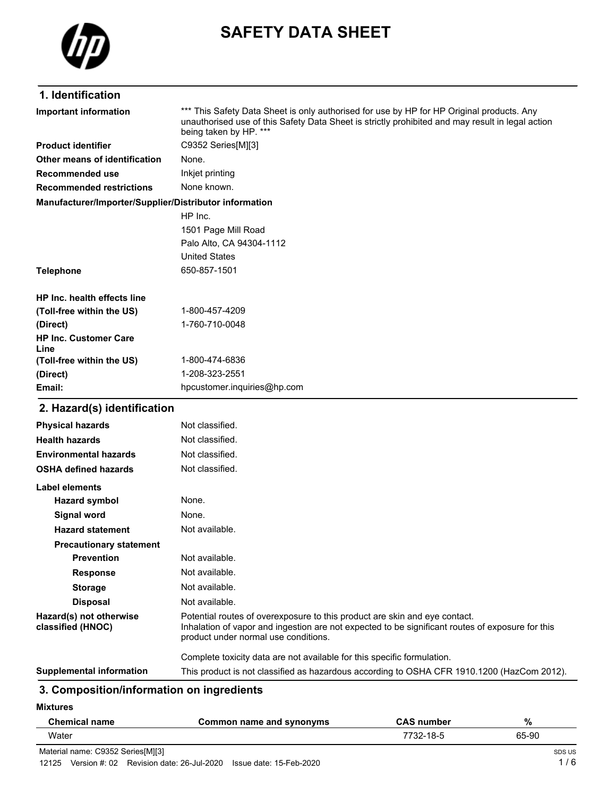

# **SAFETY DATA SHEET**

# **1. Identification**

| <b>Important information</b>                           | *** This Safety Data Sheet is only authorised for use by HP for HP Original products. Any<br>unauthorised use of this Safety Data Sheet is strictly prohibited and may result in legal action<br>being taken by HP. *** |
|--------------------------------------------------------|-------------------------------------------------------------------------------------------------------------------------------------------------------------------------------------------------------------------------|
| <b>Product identifier</b>                              | C9352 Series[M][3]                                                                                                                                                                                                      |
| Other means of identification                          | None.                                                                                                                                                                                                                   |
| Recommended use                                        | Inkjet printing                                                                                                                                                                                                         |
| <b>Recommended restrictions</b>                        | None known.                                                                                                                                                                                                             |
| Manufacturer/Importer/Supplier/Distributor information |                                                                                                                                                                                                                         |
|                                                        | HP Inc.                                                                                                                                                                                                                 |
|                                                        | 1501 Page Mill Road                                                                                                                                                                                                     |
|                                                        | Palo Alto, CA 94304-1112                                                                                                                                                                                                |
|                                                        | <b>United States</b>                                                                                                                                                                                                    |
| <b>Telephone</b>                                       | 650-857-1501                                                                                                                                                                                                            |
| HP Inc. health effects line                            |                                                                                                                                                                                                                         |
| (Toll-free within the US)                              | 1-800-457-4209                                                                                                                                                                                                          |
| (Direct)                                               | 1-760-710-0048                                                                                                                                                                                                          |
| <b>HP Inc. Customer Care</b><br>Line                   |                                                                                                                                                                                                                         |
| (Toll-free within the US)                              | 1-800-474-6836                                                                                                                                                                                                          |
| (Direct)                                               | 1-208-323-2551                                                                                                                                                                                                          |
| Email:                                                 | hpcustomer.inquiries@hp.com                                                                                                                                                                                             |
| 2. Hazard(s) identification                            |                                                                                                                                                                                                                         |
| <b>Physical hazards</b>                                | Not classified.                                                                                                                                                                                                         |
| <b>Health hazards</b>                                  | Not classified.                                                                                                                                                                                                         |
| <b>Environmental hazards</b>                           | Not classified.                                                                                                                                                                                                         |
| <b>OSHA defined hazards</b>                            | Not classified.                                                                                                                                                                                                         |
| Label elements                                         |                                                                                                                                                                                                                         |
| <b>Hazard symbol</b>                                   | None.                                                                                                                                                                                                                   |
| Signal word                                            | None.                                                                                                                                                                                                                   |
| <b>Hazard statement</b>                                | Not available.                                                                                                                                                                                                          |
| <b>Precautionary statement</b>                         |                                                                                                                                                                                                                         |
| Prevention                                             | Not available.                                                                                                                                                                                                          |
| <b>Response</b>                                        | Not available.                                                                                                                                                                                                          |
| <b>Storage</b>                                         | Not available.                                                                                                                                                                                                          |
| <b>Disposal</b>                                        | Not available.                                                                                                                                                                                                          |
| Hazard(s) not otherwise<br>classified (HNOC)           | Potential routes of overexposure to this product are skin and eye contact.<br>Inhalation of vapor and ingestion are not expected to be significant routes of exposure for this<br>product under normal use conditions.  |
|                                                        | Complete toxicity data are not available for this specific formulation.                                                                                                                                                 |
| <b>Supplemental information</b>                        | This product is not classified as hazardous according to OSHA CFR 1910.1200 (HazCom 2012).                                                                                                                              |

# **3. Composition/information on ingredients**

**Mixtures**

| <b>Chemical name</b>              | Common name and synonyms | <b>CAS number</b> | %      |
|-----------------------------------|--------------------------|-------------------|--------|
| Water                             |                          | 7732-18-5         | 65-90  |
| Material name: C9352 Series[M][3] |                          |                   | SDS US |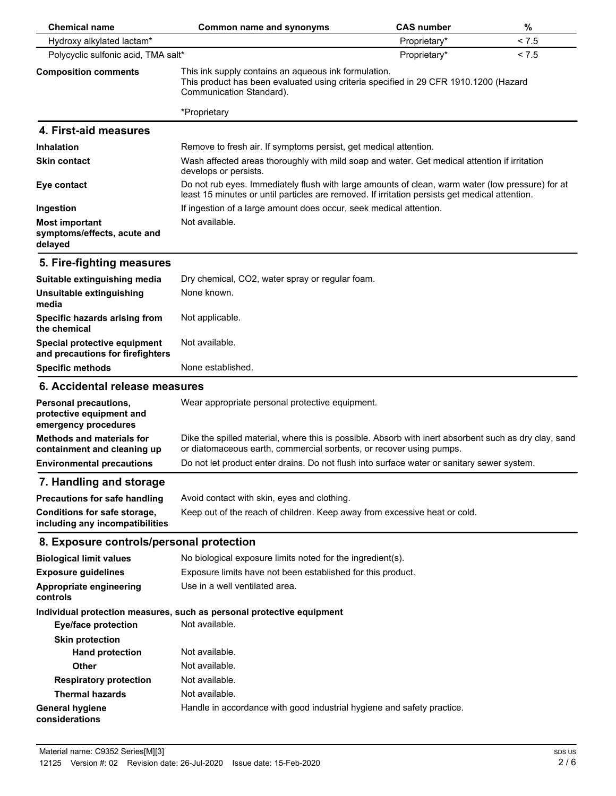| <b>Chemical name</b>                                                      | <b>Common name and synonyms</b>                                                                                                                                                                    | <b>CAS number</b> | %     |
|---------------------------------------------------------------------------|----------------------------------------------------------------------------------------------------------------------------------------------------------------------------------------------------|-------------------|-------|
| Hydroxy alkylated lactam*                                                 |                                                                                                                                                                                                    | Proprietary*      | < 7.5 |
| Polycyclic sulfonic acid, TMA salt*                                       |                                                                                                                                                                                                    | Proprietary*      | < 7.5 |
| <b>Composition comments</b>                                               | This ink supply contains an aqueous ink formulation.<br>This product has been evaluated using criteria specified in 29 CFR 1910.1200 (Hazard<br>Communication Standard).                           |                   |       |
|                                                                           | *Proprietary                                                                                                                                                                                       |                   |       |
| 4. First-aid measures                                                     |                                                                                                                                                                                                    |                   |       |
| <b>Inhalation</b>                                                         | Remove to fresh air. If symptoms persist, get medical attention.                                                                                                                                   |                   |       |
| <b>Skin contact</b>                                                       | Wash affected areas thoroughly with mild soap and water. Get medical attention if irritation<br>develops or persists.                                                                              |                   |       |
| Eye contact                                                               | Do not rub eyes. Immediately flush with large amounts of clean, warm water (low pressure) for at<br>least 15 minutes or until particles are removed. If irritation persists get medical attention. |                   |       |
| Ingestion                                                                 | If ingestion of a large amount does occur, seek medical attention.                                                                                                                                 |                   |       |
| <b>Most important</b><br>symptoms/effects, acute and<br>delayed           | Not available.                                                                                                                                                                                     |                   |       |
| 5. Fire-fighting measures                                                 |                                                                                                                                                                                                    |                   |       |
| Suitable extinguishing media                                              | Dry chemical, CO2, water spray or regular foam.                                                                                                                                                    |                   |       |
| Unsuitable extinguishing<br>media                                         | None known.                                                                                                                                                                                        |                   |       |
| Specific hazards arising from<br>the chemical                             | Not applicable.                                                                                                                                                                                    |                   |       |
| Special protective equipment<br>and precautions for firefighters          | Not available.                                                                                                                                                                                     |                   |       |
| <b>Specific methods</b>                                                   | None established.                                                                                                                                                                                  |                   |       |
| 6. Accidental release measures                                            |                                                                                                                                                                                                    |                   |       |
| Personal precautions,<br>protective equipment and<br>emergency procedures | Wear appropriate personal protective equipment.                                                                                                                                                    |                   |       |
| <b>Methods and materials for</b><br>containment and cleaning up           | Dike the spilled material, where this is possible. Absorb with inert absorbent such as dry clay, sand<br>or diatomaceous earth, commercial sorbents, or recover using pumps.                       |                   |       |
| <b>Environmental precautions</b>                                          | Do not let product enter drains. Do not flush into surface water or sanitary sewer system.                                                                                                         |                   |       |
| 7. Handling and storage                                                   |                                                                                                                                                                                                    |                   |       |
| <b>Precautions for safe handling</b>                                      | Avoid contact with skin, eyes and clothing.                                                                                                                                                        |                   |       |
| Conditions for safe storage,<br>including any incompatibilities           | Keep out of the reach of children. Keep away from excessive heat or cold.                                                                                                                          |                   |       |
| 8. Exposure controls/personal protection                                  |                                                                                                                                                                                                    |                   |       |
| <b>Biological limit values</b>                                            | No biological exposure limits noted for the ingredient(s).                                                                                                                                         |                   |       |
| <b>Exposure guidelines</b>                                                | Exposure limits have not been established for this product.                                                                                                                                        |                   |       |
| Appropriate engineering<br>controls                                       | Use in a well ventilated area.                                                                                                                                                                     |                   |       |
|                                                                           | Individual protection measures, such as personal protective equipment                                                                                                                              |                   |       |
| <b>Eye/face protection</b>                                                | Not available.                                                                                                                                                                                     |                   |       |
| <b>Skin protection</b>                                                    |                                                                                                                                                                                                    |                   |       |
| <b>Hand protection</b>                                                    | Not available.                                                                                                                                                                                     |                   |       |
| <b>Other</b>                                                              | Not available.                                                                                                                                                                                     |                   |       |
| <b>Respiratory protection</b>                                             | Not available.                                                                                                                                                                                     |                   |       |
| <b>Thermal hazards</b>                                                    | Not available.                                                                                                                                                                                     |                   |       |
| <b>General hygiene</b><br>considerations                                  | Handle in accordance with good industrial hygiene and safety practice.                                                                                                                             |                   |       |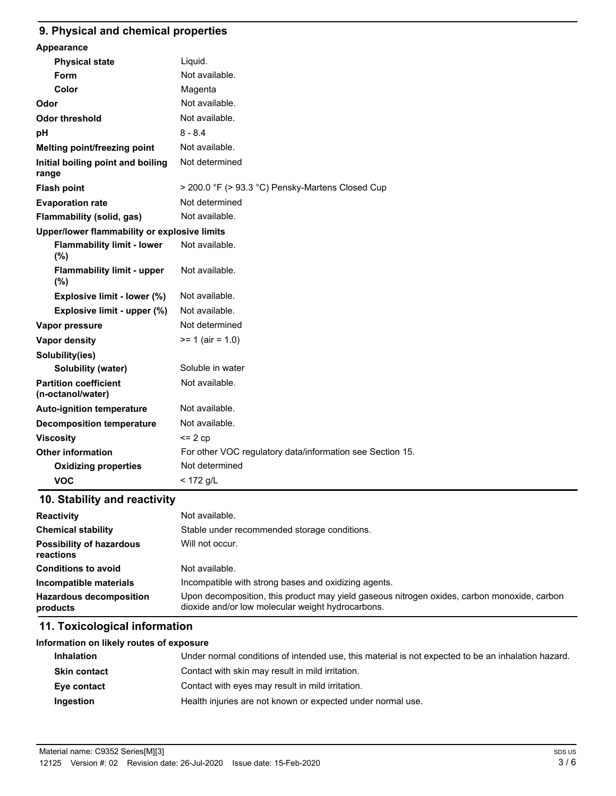#### **9. Physical and chemical properties**

| Appearance                                        |                                                           |
|---------------------------------------------------|-----------------------------------------------------------|
| <b>Physical state</b>                             | Liquid.                                                   |
| Form                                              | Not available.                                            |
| Color                                             | Magenta                                                   |
| Odor                                              | Not available.                                            |
| <b>Odor threshold</b>                             | Not available.                                            |
| pH                                                | $8 - 8.4$                                                 |
| Melting point/freezing point                      | Not available.                                            |
| Initial boiling point and boiling<br>range        | Not determined                                            |
| <b>Flash point</b>                                | > 200.0 °F (> 93.3 °C) Pensky-Martens Closed Cup          |
| <b>Evaporation rate</b>                           | Not determined                                            |
| Flammability (solid, gas)                         | Not available.                                            |
| Upper/lower flammability or explosive limits      |                                                           |
| <b>Flammability limit - lower</b><br>(%)          | Not available.                                            |
| <b>Flammability limit - upper</b><br>(%)          | Not available.                                            |
| Explosive limit - lower (%)                       | Not available.                                            |
| Explosive limit - upper (%)                       | Not available.                                            |
| Vapor pressure                                    | Not determined                                            |
| Vapor density                                     | $>= 1$ (air = 1.0)                                        |
| Solubility(ies)                                   |                                                           |
| Solubility (water)                                | Soluble in water                                          |
| <b>Partition coefficient</b><br>(n-octanol/water) | Not available.                                            |
| <b>Auto-ignition temperature</b>                  | Not available.                                            |
| <b>Decomposition temperature</b>                  | Not available.                                            |
| <b>Viscosity</b>                                  | $= 2 cp$                                                  |
| <b>Other information</b>                          | For other VOC regulatory data/information see Section 15. |
| <b>Oxidizing properties</b>                       | Not determined                                            |
| <b>VOC</b>                                        | $<$ 172 g/L                                               |
|                                                   |                                                           |

# **10. Stability and reactivity**

| <b>Reactivity</b>                            | Not available.                                                                                                                                   |
|----------------------------------------------|--------------------------------------------------------------------------------------------------------------------------------------------------|
| <b>Chemical stability</b>                    | Stable under recommended storage conditions.                                                                                                     |
| <b>Possibility of hazardous</b><br>reactions | Will not occur.                                                                                                                                  |
| <b>Conditions to avoid</b>                   | Not available.                                                                                                                                   |
| Incompatible materials                       | Incompatible with strong bases and oxidizing agents.                                                                                             |
| <b>Hazardous decomposition</b><br>products   | Upon decomposition, this product may yield gaseous nitrogen oxides, carbon monoxide, carbon<br>dioxide and/or low molecular weight hydrocarbons. |

# **11. Toxicological information**

| Information on likely routes of exposure |                                                                                                    |
|------------------------------------------|----------------------------------------------------------------------------------------------------|
| <b>Inhalation</b>                        | Under normal conditions of intended use, this material is not expected to be an inhalation hazard. |
| <b>Skin contact</b>                      | Contact with skin may result in mild irritation.                                                   |
| Eye contact                              | Contact with eyes may result in mild irritation.                                                   |
| Ingestion                                | Health injuries are not known or expected under normal use.                                        |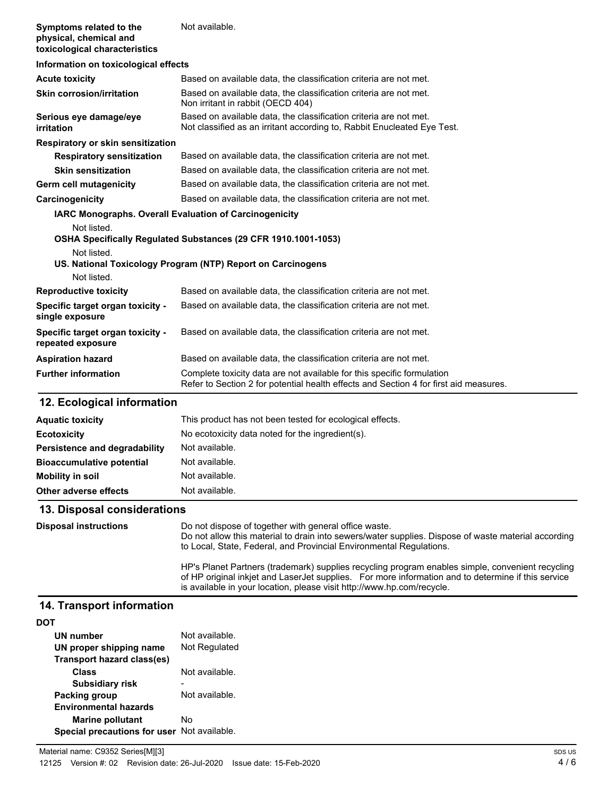| Symptoms related to the<br>physical, chemical and<br>toxicological characteristics | Not available.                                                                                                                               |  |
|------------------------------------------------------------------------------------|----------------------------------------------------------------------------------------------------------------------------------------------|--|
| Information on toxicological effects                                               |                                                                                                                                              |  |
| <b>Acute toxicity</b>                                                              | Based on available data, the classification criteria are not met.                                                                            |  |
| <b>Skin corrosion/irritation</b>                                                   | Based on available data, the classification criteria are not met.<br>Non irritant in rabbit (OECD 404)                                       |  |
| Serious eye damage/eye<br>irritation                                               | Based on available data, the classification criteria are not met.<br>Not classified as an irritant according to, Rabbit Enucleated Eye Test. |  |
| Respiratory or skin sensitization                                                  |                                                                                                                                              |  |
| <b>Respiratory sensitization</b>                                                   | Based on available data, the classification criteria are not met.                                                                            |  |
| <b>Skin sensitization</b>                                                          | Based on available data, the classification criteria are not met.                                                                            |  |
| Germ cell mutagenicity                                                             | Based on available data, the classification criteria are not met.                                                                            |  |
| Carcinogenicity                                                                    | Based on available data, the classification criteria are not met.                                                                            |  |
| <b>IARC Monographs. Overall Evaluation of Carcinogenicity</b>                      |                                                                                                                                              |  |
| Not listed.                                                                        |                                                                                                                                              |  |
|                                                                                    | OSHA Specifically Regulated Substances (29 CFR 1910.1001-1053)                                                                               |  |
| Not listed.                                                                        | US. National Toxicology Program (NTP) Report on Carcinogens                                                                                  |  |
| Not listed.                                                                        |                                                                                                                                              |  |
| <b>Reproductive toxicity</b>                                                       | Based on available data, the classification criteria are not met.                                                                            |  |
| Specific target organ toxicity -<br>single exposure                                | Based on available data, the classification criteria are not met.                                                                            |  |
| Specific target organ toxicity -<br>repeated exposure                              | Based on available data, the classification criteria are not met.                                                                            |  |
| <b>Aspiration hazard</b>                                                           | Based on available data, the classification criteria are not met.                                                                            |  |
| <b>Further information</b>                                                         | Complete toxicity data are not available for this specific formulation                                                                       |  |

### **12. Ecological information**

| <b>Aquatic toxicity</b>          | This product has not been tested for ecological effects. |
|----------------------------------|----------------------------------------------------------|
| <b>Ecotoxicity</b>               | No ecotoxicity data noted for the ingredient(s).         |
| Persistence and degradability    | Not available.                                           |
| <b>Bioaccumulative potential</b> | Not available.                                           |
| Mobility in soil                 | Not available.                                           |
| Other adverse effects            | Not available.                                           |

Refer to Section 2 for potential health effects and Section 4 for first aid measures.

#### **13. Disposal considerations**

Do not dispose of together with general office waste. Do not allow this material to drain into sewers/water supplies. Dispose of waste material according to Local, State, Federal, and Provincial Environmental Regulations. HP's Planet Partners (trademark) supplies recycling program enables simple, convenient recycling of HP original inkjet and LaserJet supplies. For more information and to determine if this service is available in your location, please visit http://www.hp.com/recycle. **Disposal instructions**

### **14. Transport information**

| UN number                                                              | Not available. |
|------------------------------------------------------------------------|----------------|
| UN proper shipping name<br>Transport hazard class(es)                  | Not Regulated  |
| <b>Class</b>                                                           | Not available. |
| <b>Subsidiary risk</b>                                                 |                |
| <b>Packing group</b>                                                   | Not available. |
| <b>Environmental hazards</b>                                           |                |
| <b>Marine pollutant</b><br>Special precautions for user Not available. | No             |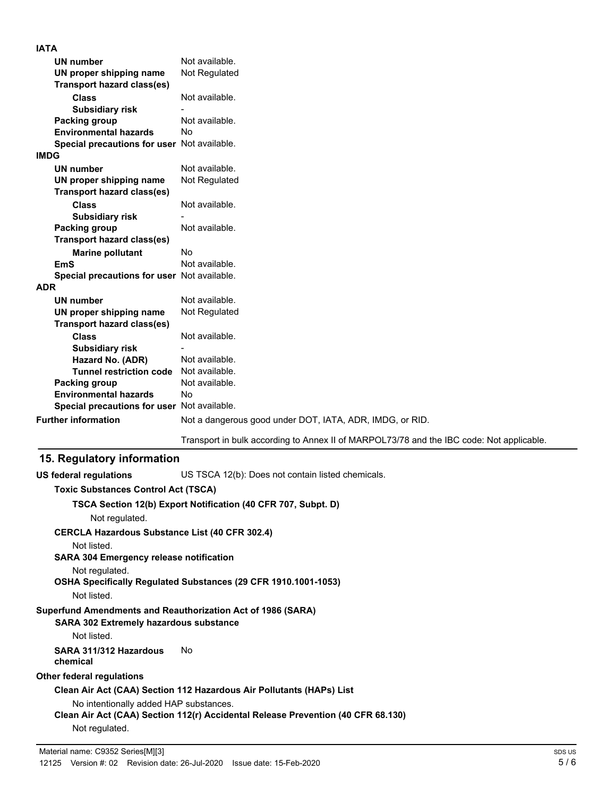| <b>IATA</b>                                 |                                                          |
|---------------------------------------------|----------------------------------------------------------|
| <b>UN number</b>                            | Not available.                                           |
| UN proper shipping name                     | Not Regulated                                            |
| <b>Transport hazard class(es)</b>           |                                                          |
| <b>Class</b>                                | Not available.                                           |
| <b>Subsidiary risk</b>                      |                                                          |
| <b>Packing group</b>                        | Not available.                                           |
| <b>Environmental hazards</b>                | No                                                       |
| Special precautions for user Not available. |                                                          |
| <b>IMDG</b>                                 |                                                          |
| <b>UN number</b>                            | Not available.                                           |
| UN proper shipping name                     | Not Regulated                                            |
| <b>Transport hazard class(es)</b>           |                                                          |
| <b>Class</b>                                | Not available.                                           |
| <b>Subsidiary risk</b>                      |                                                          |
| Packing group                               | Not available.                                           |
| <b>Transport hazard class(es)</b>           |                                                          |
| <b>Marine pollutant</b>                     | <b>No</b>                                                |
| <b>EmS</b>                                  | Not available.                                           |
| Special precautions for user Not available. |                                                          |
| <b>ADR</b>                                  |                                                          |
| <b>UN number</b>                            | Not available.                                           |
| UN proper shipping name                     | Not Regulated                                            |
| <b>Transport hazard class(es)</b>           |                                                          |
| <b>Class</b>                                | Not available.                                           |
| <b>Subsidiary risk</b>                      |                                                          |
| Hazard No. (ADR)                            | Not available.                                           |
| <b>Tunnel restriction code</b>              | Not available.                                           |
| Packing group                               | Not available.                                           |
| <b>Environmental hazards</b>                | No                                                       |
| Special precautions for user Not available. |                                                          |
| <b>Further information</b>                  | Not a dangerous good under DOT, IATA, ADR, IMDG, or RID. |
|                                             |                                                          |

Transport in bulk according to Annex II of MARPOL73/78 and the IBC code: Not applicable.

# **15. Regulatory information**

**US federal regulations** US TSCA 12(b): Does not contain listed chemicals. **Toxic Substances Control Act (TSCA) TSCA Section 12(b) Export Notification (40 CFR 707, Subpt. D)** Not regulated.

**CERCLA Hazardous Substance List (40 CFR 302.4)**

Not listed.

**SARA 304 Emergency release notification**

Not regulated.

**OSHA Specifically Regulated Substances (29 CFR 1910.1001-1053)**

Not listed.

**Superfund Amendments and Reauthorization Act of 1986 (SARA)**

**SARA 302 Extremely hazardous substance**

Not listed.

# **SARA 311/312 Hazardous** No

**chemical**

**Other federal regulations**

**Clean Air Act (CAA) Section 112 Hazardous Air Pollutants (HAPs) List**

No intentionally added HAP substances.

**Clean Air Act (CAA) Section 112(r) Accidental Release Prevention (40 CFR 68.130)**

Not regulated.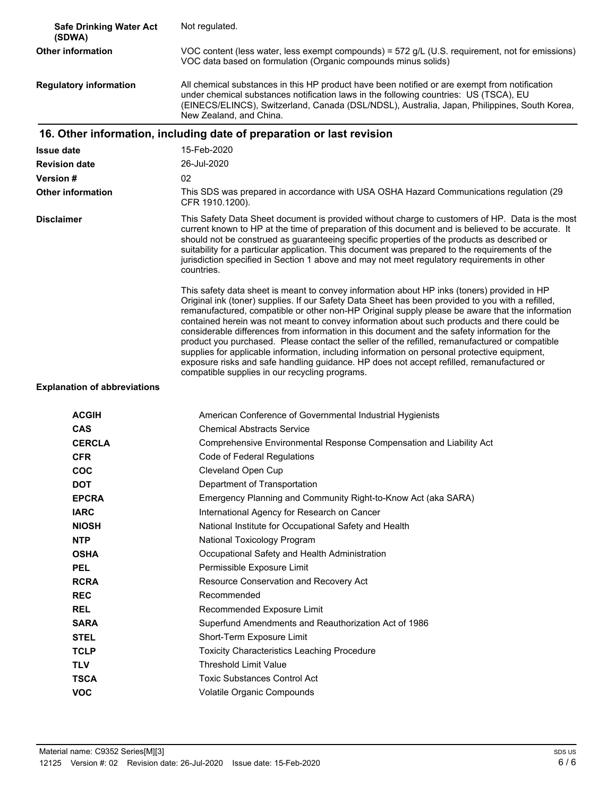| <b>Safe Drinking Water Act</b><br>(SDWA) | Not regulated.                                                                                                                                                                                                                                                                                                                                                                                                                                                                                                                                                                                                                                                                                                                                                                                                                                       |
|------------------------------------------|------------------------------------------------------------------------------------------------------------------------------------------------------------------------------------------------------------------------------------------------------------------------------------------------------------------------------------------------------------------------------------------------------------------------------------------------------------------------------------------------------------------------------------------------------------------------------------------------------------------------------------------------------------------------------------------------------------------------------------------------------------------------------------------------------------------------------------------------------|
| <b>Other information</b>                 | VOC content (less water, less exempt compounds) = 572 g/L (U.S. requirement, not for emissions)<br>VOC data based on formulation (Organic compounds minus solids)                                                                                                                                                                                                                                                                                                                                                                                                                                                                                                                                                                                                                                                                                    |
| <b>Regulatory information</b>            | All chemical substances in this HP product have been notified or are exempt from notification<br>under chemical substances notification laws in the following countries: US (TSCA), EU<br>(EINECS/ELINCS), Switzerland, Canada (DSL/NDSL), Australia, Japan, Philippines, South Korea,<br>New Zealand, and China.                                                                                                                                                                                                                                                                                                                                                                                                                                                                                                                                    |
|                                          | 16. Other information, including date of preparation or last revision                                                                                                                                                                                                                                                                                                                                                                                                                                                                                                                                                                                                                                                                                                                                                                                |
| <b>Issue date</b>                        | 15-Feb-2020                                                                                                                                                                                                                                                                                                                                                                                                                                                                                                                                                                                                                                                                                                                                                                                                                                          |
| <b>Revision date</b>                     | 26-Jul-2020                                                                                                                                                                                                                                                                                                                                                                                                                                                                                                                                                                                                                                                                                                                                                                                                                                          |
| Version #                                | 02                                                                                                                                                                                                                                                                                                                                                                                                                                                                                                                                                                                                                                                                                                                                                                                                                                                   |
| <b>Other information</b>                 | This SDS was prepared in accordance with USA OSHA Hazard Communications regulation (29<br>CFR 1910.1200).                                                                                                                                                                                                                                                                                                                                                                                                                                                                                                                                                                                                                                                                                                                                            |
| <b>Disclaimer</b>                        | This Safety Data Sheet document is provided without charge to customers of HP. Data is the most<br>current known to HP at the time of preparation of this document and is believed to be accurate. It<br>should not be construed as guaranteeing specific properties of the products as described or<br>suitability for a particular application. This document was prepared to the requirements of the<br>jurisdiction specified in Section 1 above and may not meet regulatory requirements in other<br>countries.                                                                                                                                                                                                                                                                                                                                 |
|                                          | This safety data sheet is meant to convey information about HP inks (toners) provided in HP<br>Original ink (toner) supplies. If our Safety Data Sheet has been provided to you with a refilled,<br>remanufactured, compatible or other non-HP Original supply please be aware that the information<br>contained herein was not meant to convey information about such products and there could be<br>considerable differences from information in this document and the safety information for the<br>product you purchased. Please contact the seller of the refilled, remanufactured or compatible<br>supplies for applicable information, including information on personal protective equipment,<br>exposure risks and safe handling guidance. HP does not accept refilled, remanufactured or<br>compatible supplies in our recycling programs. |
| <b>Explanation of abbreviations</b>      |                                                                                                                                                                                                                                                                                                                                                                                                                                                                                                                                                                                                                                                                                                                                                                                                                                                      |
| <b>ACGIH</b>                             | American Conference of Governmental Industrial Hygienists                                                                                                                                                                                                                                                                                                                                                                                                                                                                                                                                                                                                                                                                                                                                                                                            |
| CAS                                      | <b>Chemical Abstracts Service</b>                                                                                                                                                                                                                                                                                                                                                                                                                                                                                                                                                                                                                                                                                                                                                                                                                    |
| <b>CERCLA</b>                            | Comprehensive Environmental Response Compensation and Liability Act                                                                                                                                                                                                                                                                                                                                                                                                                                                                                                                                                                                                                                                                                                                                                                                  |
| <b>CFR</b>                               | Code of Federal Regulations                                                                                                                                                                                                                                                                                                                                                                                                                                                                                                                                                                                                                                                                                                                                                                                                                          |
| <b>COC</b>                               | Cleveland Open Cup                                                                                                                                                                                                                                                                                                                                                                                                                                                                                                                                                                                                                                                                                                                                                                                                                                   |
| <b>DOT</b>                               | Department of Transportation                                                                                                                                                                                                                                                                                                                                                                                                                                                                                                                                                                                                                                                                                                                                                                                                                         |
| <b>EPCRA</b>                             | Emergency Planning and Community Right-to-Know Act (aka SARA)                                                                                                                                                                                                                                                                                                                                                                                                                                                                                                                                                                                                                                                                                                                                                                                        |
| <b>IARC</b>                              | International Agency for Research on Cancer                                                                                                                                                                                                                                                                                                                                                                                                                                                                                                                                                                                                                                                                                                                                                                                                          |
| <b>NIOSH</b>                             | National Institute for Occupational Safety and Health                                                                                                                                                                                                                                                                                                                                                                                                                                                                                                                                                                                                                                                                                                                                                                                                |
| <b>NTP</b>                               | National Toxicology Program                                                                                                                                                                                                                                                                                                                                                                                                                                                                                                                                                                                                                                                                                                                                                                                                                          |
| <b>OSHA</b>                              | Occupational Safety and Health Administration                                                                                                                                                                                                                                                                                                                                                                                                                                                                                                                                                                                                                                                                                                                                                                                                        |
| <b>PEL</b>                               | Permissible Exposure Limit                                                                                                                                                                                                                                                                                                                                                                                                                                                                                                                                                                                                                                                                                                                                                                                                                           |
| <b>RCRA</b>                              | Resource Conservation and Recovery Act                                                                                                                                                                                                                                                                                                                                                                                                                                                                                                                                                                                                                                                                                                                                                                                                               |
| <b>REC</b>                               | Recommended                                                                                                                                                                                                                                                                                                                                                                                                                                                                                                                                                                                                                                                                                                                                                                                                                                          |
| <b>REL</b>                               | Recommended Exposure Limit                                                                                                                                                                                                                                                                                                                                                                                                                                                                                                                                                                                                                                                                                                                                                                                                                           |
| <b>SARA</b>                              | Superfund Amendments and Reauthorization Act of 1986                                                                                                                                                                                                                                                                                                                                                                                                                                                                                                                                                                                                                                                                                                                                                                                                 |
| <b>STEL</b>                              | Short-Term Exposure Limit                                                                                                                                                                                                                                                                                                                                                                                                                                                                                                                                                                                                                                                                                                                                                                                                                            |
| <b>TCLP</b>                              | <b>Toxicity Characteristics Leaching Procedure</b>                                                                                                                                                                                                                                                                                                                                                                                                                                                                                                                                                                                                                                                                                                                                                                                                   |
| <b>TLV</b>                               | <b>Threshold Limit Value</b>                                                                                                                                                                                                                                                                                                                                                                                                                                                                                                                                                                                                                                                                                                                                                                                                                         |
| <b>TSCA</b>                              | <b>Toxic Substances Control Act</b>                                                                                                                                                                                                                                                                                                                                                                                                                                                                                                                                                                                                                                                                                                                                                                                                                  |
| <b>VOC</b>                               | Volatile Organic Compounds                                                                                                                                                                                                                                                                                                                                                                                                                                                                                                                                                                                                                                                                                                                                                                                                                           |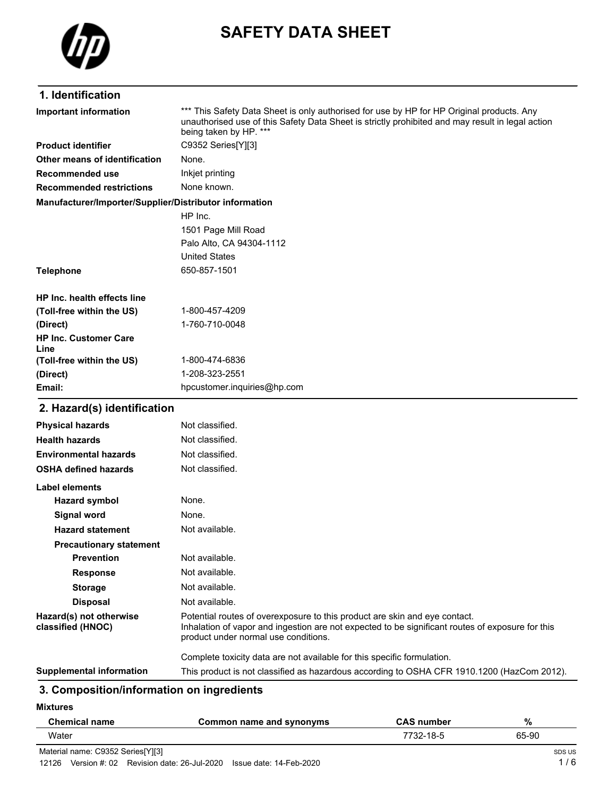

# **SAFETY DATA SHEET**

# **1. Identification**

| <b>Important information</b>                           | *** This Safety Data Sheet is only authorised for use by HP for HP Original products. Any<br>unauthorised use of this Safety Data Sheet is strictly prohibited and may result in legal action<br>being taken by HP. *** |
|--------------------------------------------------------|-------------------------------------------------------------------------------------------------------------------------------------------------------------------------------------------------------------------------|
| <b>Product identifier</b>                              | C9352 Series[Y][3]                                                                                                                                                                                                      |
| Other means of identification                          | None.                                                                                                                                                                                                                   |
| Recommended use                                        | Inkjet printing                                                                                                                                                                                                         |
| <b>Recommended restrictions</b>                        | None known.                                                                                                                                                                                                             |
| Manufacturer/Importer/Supplier/Distributor information |                                                                                                                                                                                                                         |
|                                                        | HP Inc.                                                                                                                                                                                                                 |
|                                                        | 1501 Page Mill Road                                                                                                                                                                                                     |
|                                                        | Palo Alto, CA 94304-1112                                                                                                                                                                                                |
|                                                        | <b>United States</b>                                                                                                                                                                                                    |
| <b>Telephone</b>                                       | 650-857-1501                                                                                                                                                                                                            |
| <b>HP Inc. health effects line</b>                     |                                                                                                                                                                                                                         |
| (Toll-free within the US)                              | 1-800-457-4209                                                                                                                                                                                                          |
| (Direct)                                               | 1-760-710-0048                                                                                                                                                                                                          |
| <b>HP Inc. Customer Care</b><br>Line                   |                                                                                                                                                                                                                         |
| (Toll-free within the US)                              | 1-800-474-6836                                                                                                                                                                                                          |
| (Direct)                                               | 1-208-323-2551                                                                                                                                                                                                          |
| Email:                                                 | hpcustomer.inquiries@hp.com                                                                                                                                                                                             |
| 2. Hazard(s) identification                            |                                                                                                                                                                                                                         |
| <b>Physical hazards</b>                                | Not classified.                                                                                                                                                                                                         |
| <b>Health hazards</b>                                  | Not classified.                                                                                                                                                                                                         |
| <b>Environmental hazards</b>                           | Not classified.                                                                                                                                                                                                         |
| OSHA defined hazards                                   | Not classified.                                                                                                                                                                                                         |
| Label elements                                         |                                                                                                                                                                                                                         |
| <b>Hazard symbol</b>                                   | None.                                                                                                                                                                                                                   |
| <b>Signal word</b>                                     | None.                                                                                                                                                                                                                   |
| <b>Hazard statement</b>                                | Not available.                                                                                                                                                                                                          |
| <b>Precautionary statement</b>                         |                                                                                                                                                                                                                         |
| <b>Prevention</b>                                      | Not available.                                                                                                                                                                                                          |
| <b>Response</b>                                        | Not available.                                                                                                                                                                                                          |
| <b>Storage</b>                                         | Not available.                                                                                                                                                                                                          |
| <b>Disposal</b>                                        | Not available.                                                                                                                                                                                                          |
| Hazard(s) not otherwise<br>classified (HNOC)           | Potential routes of overexposure to this product are skin and eye contact.<br>Inhalation of vapor and ingestion are not expected to be significant routes of exposure for this<br>product under normal use conditions.  |
|                                                        | Complete toxicity data are not available for this specific formulation.                                                                                                                                                 |

**Supplemental information** This product is not classified as hazardous according to OSHA CFR 1910.1200 (HazCom 2012).

# **3. Composition/information on ingredients**

**Mixtures**

| <b>Chemical name</b>              | Common name and synonyms | <b>CAS number</b> | %      |
|-----------------------------------|--------------------------|-------------------|--------|
| Water                             |                          | 7732-18-5         | 65-90  |
| Material name: C9352 Series[Y][3] |                          |                   | SDS US |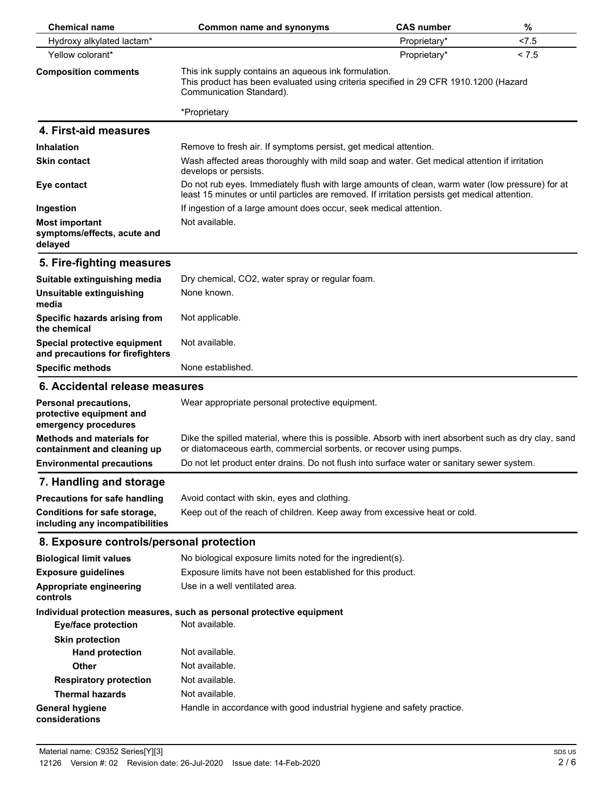| <b>Chemical name</b>                                                      | Common name and synonyms                                                                                                                                                                           | <b>CAS number</b> | %     |
|---------------------------------------------------------------------------|----------------------------------------------------------------------------------------------------------------------------------------------------------------------------------------------------|-------------------|-------|
| Hydroxy alkylated lactam*                                                 |                                                                                                                                                                                                    | Proprietary*      | < 7.5 |
| Yellow colorant*                                                          |                                                                                                                                                                                                    | Proprietary*      | < 7.5 |
| <b>Composition comments</b>                                               | This ink supply contains an aqueous ink formulation.<br>This product has been evaluated using criteria specified in 29 CFR 1910.1200 (Hazard<br>Communication Standard).                           |                   |       |
|                                                                           | *Proprietary                                                                                                                                                                                       |                   |       |
| 4. First-aid measures                                                     |                                                                                                                                                                                                    |                   |       |
| <b>Inhalation</b>                                                         | Remove to fresh air. If symptoms persist, get medical attention.                                                                                                                                   |                   |       |
| <b>Skin contact</b>                                                       | Wash affected areas thoroughly with mild soap and water. Get medical attention if irritation<br>develops or persists.                                                                              |                   |       |
| Eye contact                                                               | Do not rub eyes. Immediately flush with large amounts of clean, warm water (low pressure) for at<br>least 15 minutes or until particles are removed. If irritation persists get medical attention. |                   |       |
| Ingestion                                                                 | If ingestion of a large amount does occur, seek medical attention.                                                                                                                                 |                   |       |
| <b>Most important</b><br>symptoms/effects, acute and                      | Not available.                                                                                                                                                                                     |                   |       |
| delayed                                                                   |                                                                                                                                                                                                    |                   |       |
| 5. Fire-fighting measures                                                 |                                                                                                                                                                                                    |                   |       |
| Suitable extinguishing media                                              | Dry chemical, CO2, water spray or regular foam.                                                                                                                                                    |                   |       |
| Unsuitable extinguishing<br>media                                         | None known.                                                                                                                                                                                        |                   |       |
| Specific hazards arising from<br>the chemical                             | Not applicable.                                                                                                                                                                                    |                   |       |
| Special protective equipment<br>and precautions for firefighters          | Not available.                                                                                                                                                                                     |                   |       |
| <b>Specific methods</b>                                                   | None established.                                                                                                                                                                                  |                   |       |
| 6. Accidental release measures                                            |                                                                                                                                                                                                    |                   |       |
| Personal precautions,<br>protective equipment and<br>emergency procedures | Wear appropriate personal protective equipment.                                                                                                                                                    |                   |       |
| Methods and materials for<br>containment and cleaning up                  | Dike the spilled material, where this is possible. Absorb with inert absorbent such as dry clay, sand<br>or diatomaceous earth, commercial sorbents, or recover using pumps.                       |                   |       |
| <b>Environmental precautions</b>                                          | Do not let product enter drains. Do not flush into surface water or sanitary sewer system.                                                                                                         |                   |       |
| 7. Handling and storage                                                   |                                                                                                                                                                                                    |                   |       |
| <b>Precautions for safe handling</b>                                      | Avoid contact with skin, eyes and clothing.                                                                                                                                                        |                   |       |
| Conditions for safe storage,<br>including any incompatibilities           | Keep out of the reach of children. Keep away from excessive heat or cold.                                                                                                                          |                   |       |
| 8. Exposure controls/personal protection                                  |                                                                                                                                                                                                    |                   |       |
| <b>Biological limit values</b>                                            | No biological exposure limits noted for the ingredient(s).                                                                                                                                         |                   |       |
| <b>Exposure guidelines</b>                                                | Exposure limits have not been established for this product.                                                                                                                                        |                   |       |
| Appropriate engineering<br>controls                                       | Use in a well ventilated area.                                                                                                                                                                     |                   |       |
|                                                                           | Individual protection measures, such as personal protective equipment                                                                                                                              |                   |       |
| <b>Eye/face protection</b>                                                | Not available.                                                                                                                                                                                     |                   |       |
| <b>Skin protection</b>                                                    |                                                                                                                                                                                                    |                   |       |
| <b>Hand protection</b>                                                    | Not available.                                                                                                                                                                                     |                   |       |
| <b>Other</b>                                                              | Not available.                                                                                                                                                                                     |                   |       |
| <b>Respiratory protection</b>                                             | Not available.                                                                                                                                                                                     |                   |       |
| <b>Thermal hazards</b>                                                    | Not available.                                                                                                                                                                                     |                   |       |
| <b>General hygiene</b><br>considerations                                  | Handle in accordance with good industrial hygiene and safety practice.                                                                                                                             |                   |       |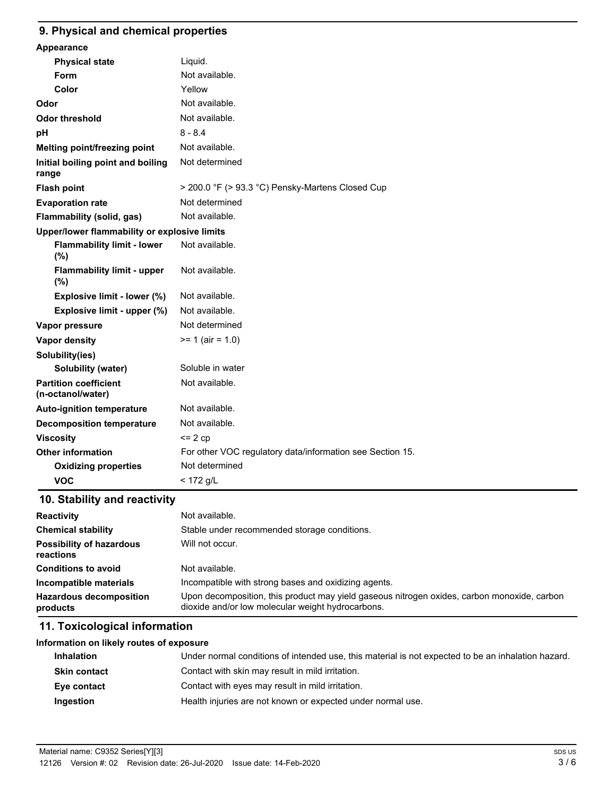#### **9. Physical and chemical properties**

| Appearance                                        |                                                           |
|---------------------------------------------------|-----------------------------------------------------------|
| <b>Physical state</b>                             | Liquid.                                                   |
| Form                                              | Not available.                                            |
| Color                                             | Yellow                                                    |
| Odor                                              | Not available.                                            |
| <b>Odor threshold</b>                             | Not available.                                            |
| pH                                                | $8 - 8.4$                                                 |
| Melting point/freezing point                      | Not available.                                            |
| Initial boiling point and boiling<br>range        | Not determined                                            |
| <b>Flash point</b>                                | > 200.0 °F (> 93.3 °C) Pensky-Martens Closed Cup          |
| <b>Evaporation rate</b>                           | Not determined                                            |
| Flammability (solid, gas)                         | Not available.                                            |
| Upper/lower flammability or explosive limits      |                                                           |
| <b>Flammability limit - lower</b><br>(%)          | Not available.                                            |
| <b>Flammability limit - upper</b><br>(%)          | Not available.                                            |
| Explosive limit - lower (%)                       | Not available.                                            |
| Explosive limit - upper (%)                       | Not available.                                            |
| Vapor pressure                                    | Not determined                                            |
| Vapor density                                     | $>= 1$ (air = 1.0)                                        |
| Solubility(ies)                                   |                                                           |
| Solubility (water)                                | Soluble in water                                          |
| <b>Partition coefficient</b><br>(n-octanol/water) | Not available.                                            |
| <b>Auto-ignition temperature</b>                  | Not available.                                            |
| <b>Decomposition temperature</b>                  | Not available.                                            |
| <b>Viscosity</b>                                  | $= 2 cp$                                                  |
| <b>Other information</b>                          | For other VOC regulatory data/information see Section 15. |
| <b>Oxidizing properties</b>                       | Not determined                                            |
| <b>VOC</b>                                        | $<$ 172 g/L                                               |
|                                                   |                                                           |

# **10. Stability and reactivity**

| <b>Reactivity</b>                            | Not available.                                                                                                                                   |
|----------------------------------------------|--------------------------------------------------------------------------------------------------------------------------------------------------|
| <b>Chemical stability</b>                    | Stable under recommended storage conditions.                                                                                                     |
| <b>Possibility of hazardous</b><br>reactions | Will not occur.                                                                                                                                  |
| <b>Conditions to avoid</b>                   | Not available.                                                                                                                                   |
| Incompatible materials                       | Incompatible with strong bases and oxidizing agents.                                                                                             |
| <b>Hazardous decomposition</b><br>products   | Upon decomposition, this product may yield gaseous nitrogen oxides, carbon monoxide, carbon<br>dioxide and/or low molecular weight hydrocarbons. |

# **11. Toxicological information**

| Information on likely routes of exposure |                                                                                                    |
|------------------------------------------|----------------------------------------------------------------------------------------------------|
| <b>Inhalation</b>                        | Under normal conditions of intended use, this material is not expected to be an inhalation hazard. |
| <b>Skin contact</b>                      | Contact with skin may result in mild irritation.                                                   |
| Eye contact                              | Contact with eyes may result in mild irritation.                                                   |
| Ingestion                                | Health injuries are not known or expected under normal use.                                        |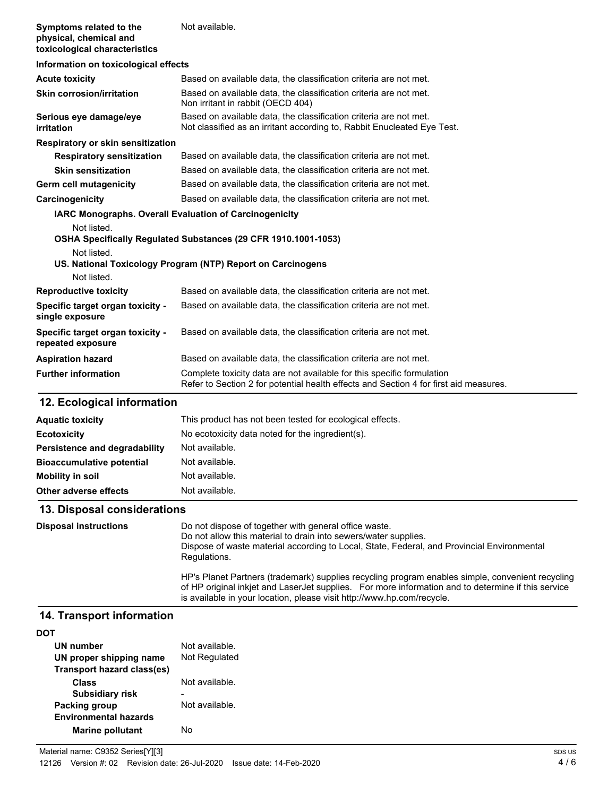| Symptoms related to the<br>physical, chemical and<br>toxicological characteristics | Not available.                                                                                                                               |  |
|------------------------------------------------------------------------------------|----------------------------------------------------------------------------------------------------------------------------------------------|--|
| Information on toxicological effects                                               |                                                                                                                                              |  |
| <b>Acute toxicity</b>                                                              | Based on available data, the classification criteria are not met.                                                                            |  |
| <b>Skin corrosion/irritation</b>                                                   | Based on available data, the classification criteria are not met.<br>Non irritant in rabbit (OECD 404)                                       |  |
| Serious eye damage/eye<br>irritation                                               | Based on available data, the classification criteria are not met.<br>Not classified as an irritant according to, Rabbit Enucleated Eye Test. |  |
| Respiratory or skin sensitization                                                  |                                                                                                                                              |  |
| <b>Respiratory sensitization</b>                                                   | Based on available data, the classification criteria are not met.                                                                            |  |
| <b>Skin sensitization</b>                                                          | Based on available data, the classification criteria are not met.                                                                            |  |
| Germ cell mutagenicity                                                             | Based on available data, the classification criteria are not met.                                                                            |  |
| Carcinogenicity                                                                    | Based on available data, the classification criteria are not met.                                                                            |  |
| <b>IARC Monographs. Overall Evaluation of Carcinogenicity</b>                      |                                                                                                                                              |  |
| Not listed.<br>OSHA Specifically Regulated Substances (29 CFR 1910.1001-1053)      |                                                                                                                                              |  |
| Not listed.                                                                        |                                                                                                                                              |  |
| US. National Toxicology Program (NTP) Report on Carcinogens                        |                                                                                                                                              |  |
| Not listed.                                                                        |                                                                                                                                              |  |
| <b>Reproductive toxicity</b>                                                       | Based on available data, the classification criteria are not met.                                                                            |  |
| Specific target organ toxicity -<br>single exposure                                | Based on available data, the classification criteria are not met.                                                                            |  |
| Specific target organ toxicity -<br>repeated exposure                              | Based on available data, the classification criteria are not met.                                                                            |  |
| <b>Aspiration hazard</b>                                                           | Based on available data, the classification criteria are not met.                                                                            |  |

**Further information** Complete toxicity data are not available for this specific formulation

## **12. Ecological information**

| <b>Aquatic toxicity</b>          | This product has not been tested for ecological effects. |
|----------------------------------|----------------------------------------------------------|
| <b>Ecotoxicity</b>               | No ecotoxicity data noted for the ingredient(s).         |
| Persistence and degradability    | Not available.                                           |
| <b>Bioaccumulative potential</b> | Not available.                                           |
| Mobility in soil                 | Not available.                                           |
| Other adverse effects            | Not available.                                           |

Refer to Section 2 for potential health effects and Section 4 for first aid measures.

## **13. Disposal considerations**

| <b>Disposal instructions</b> | Do not dispose of together with general office waste.<br>Do not allow this material to drain into sewers/water supplies.<br>Dispose of waste material according to Local, State, Federal, and Provincial Environmental<br>Regulations.                                           |
|------------------------------|----------------------------------------------------------------------------------------------------------------------------------------------------------------------------------------------------------------------------------------------------------------------------------|
|                              | HP's Planet Partners (trademark) supplies recycling program enables simple, convenient recycling<br>of HP original inkjet and LaserJet supplies. For more information and to determine if this service<br>is available in your location, please visit http://www.hp.com/recycle. |

# **14. Transport information**

| UN number                    | Not available. |
|------------------------------|----------------|
| UN proper shipping name      | Not Regulated  |
| Transport hazard class(es)   |                |
| Class                        | Not available. |
| <b>Subsidiary risk</b>       |                |
| <b>Packing group</b>         | Not available. |
| <b>Environmental hazards</b> |                |
| <b>Marine pollutant</b>      | N٥             |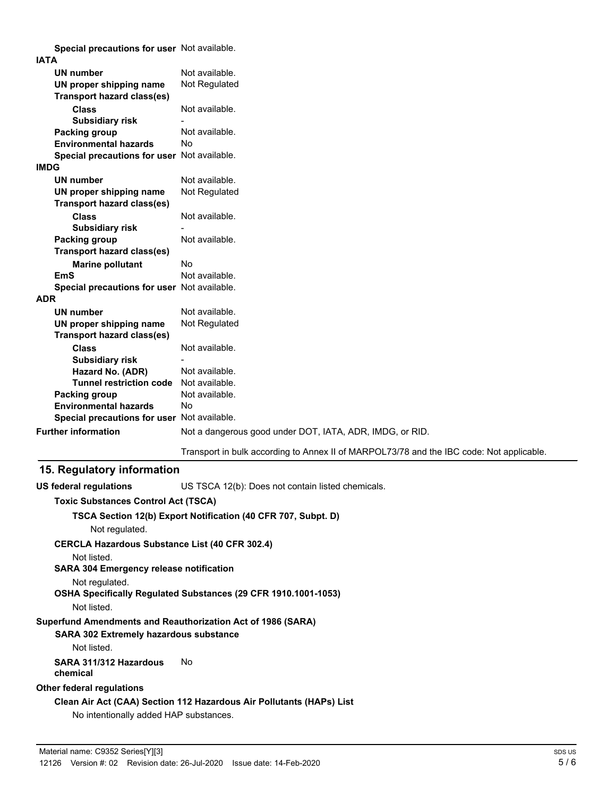**Special precautions for user** Not available.

| <b>IATA</b>                                 |                                                                                          |
|---------------------------------------------|------------------------------------------------------------------------------------------|
| <b>UN number</b>                            | Not available.                                                                           |
| UN proper shipping name                     | Not Regulated                                                                            |
| <b>Transport hazard class(es)</b>           |                                                                                          |
| <b>Class</b>                                | Not available.                                                                           |
| <b>Subsidiary risk</b>                      |                                                                                          |
| Packing group                               | Not available.                                                                           |
| <b>Environmental hazards</b>                | <b>No</b>                                                                                |
| Special precautions for user Not available. |                                                                                          |
| <b>IMDG</b>                                 |                                                                                          |
| <b>UN number</b>                            | Not available.                                                                           |
| UN proper shipping name                     | Not Regulated                                                                            |
| Transport hazard class(es)                  |                                                                                          |
| <b>Class</b>                                | Not available.                                                                           |
| <b>Subsidiary risk</b>                      |                                                                                          |
| Packing group                               | Not available.                                                                           |
| <b>Transport hazard class(es)</b>           |                                                                                          |
| <b>Marine pollutant</b>                     | No                                                                                       |
| <b>EmS</b>                                  | Not available.                                                                           |
| Special precautions for user Not available. |                                                                                          |
| <b>ADR</b>                                  |                                                                                          |
| <b>UN number</b>                            | Not available.                                                                           |
| UN proper shipping name                     | Not Regulated                                                                            |
| <b>Transport hazard class(es)</b>           |                                                                                          |
| <b>Class</b>                                | Not available.                                                                           |
| <b>Subsidiary risk</b>                      |                                                                                          |
| Hazard No. (ADR)                            | Not available.                                                                           |
| <b>Tunnel restriction code</b>              | Not available.                                                                           |
| <b>Packing group</b>                        | Not available.                                                                           |
| <b>Environmental hazards</b>                | Nο                                                                                       |
| Special precautions for user Not available. |                                                                                          |
| <b>Further information</b>                  | Not a dangerous good under DOT, IATA, ADR, IMDG, or RID.                                 |
|                                             | Transport in bulk according to Annex II of MARPOL73/78 and the IBC code: Not applicable. |

### **15. Regulatory information**

**US federal regulations** US TSCA 12(b): Does not contain listed chemicals.

### **Toxic Substances Control Act (TSCA)**

#### **TSCA Section 12(b) Export Notification (40 CFR 707, Subpt. D)**

Not regulated.

**CERCLA Hazardous Substance List (40 CFR 302.4)**

Not listed.

**SARA 304 Emergency release notification**

Not regulated.

**OSHA Specifically Regulated Substances (29 CFR 1910.1001-1053)**

### Not listed.

### **Superfund Amendments and Reauthorization Act of 1986 (SARA)**

### **SARA 302 Extremely hazardous substance**

Not listed.

#### **SARA 311/312 Hazardous** No **chemical**

### **Other federal regulations**

# **Clean Air Act (CAA) Section 112 Hazardous Air Pollutants (HAPs) List**

No intentionally added HAP substances.